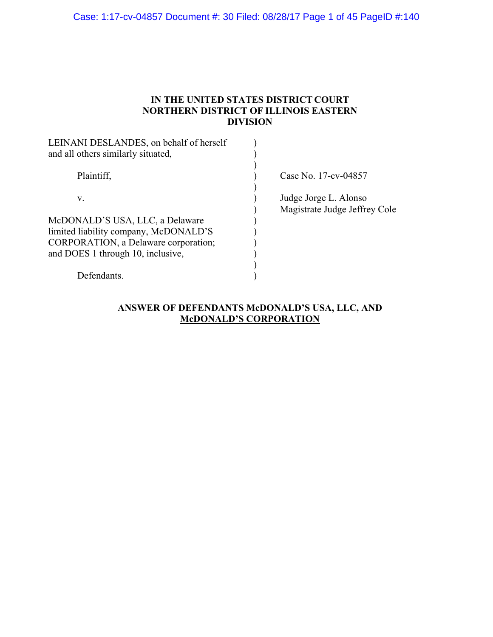Case: 1:17-cv-04857 Document #: 30 Filed: 08/28/17 Page 1 of 45 PageID #:140

### **IN THE UNITED STATES DISTRICT COURT NORTHERN DISTRICT OF ILLINOIS EASTERN DIVISION**

| LEINANI DESLANDES, on behalf of herself<br>and all others similarly situated, |                               |
|-------------------------------------------------------------------------------|-------------------------------|
|                                                                               |                               |
| Plaintiff,                                                                    | Case No. 17-cv-04857          |
| V.                                                                            | Judge Jorge L. Alonso         |
|                                                                               | Magistrate Judge Jeffrey Cole |
| McDONALD'S USA, LLC, a Delaware                                               |                               |
| limited liability company, McDONALD'S                                         |                               |
| CORPORATION, a Delaware corporation;                                          |                               |
| and DOES 1 through 10, inclusive,                                             |                               |
|                                                                               |                               |
| Defendants.                                                                   |                               |

# **ANSWER OF DEFENDANTS McDONALD'S USA, LLC, AND McDONALD'S CORPORATION**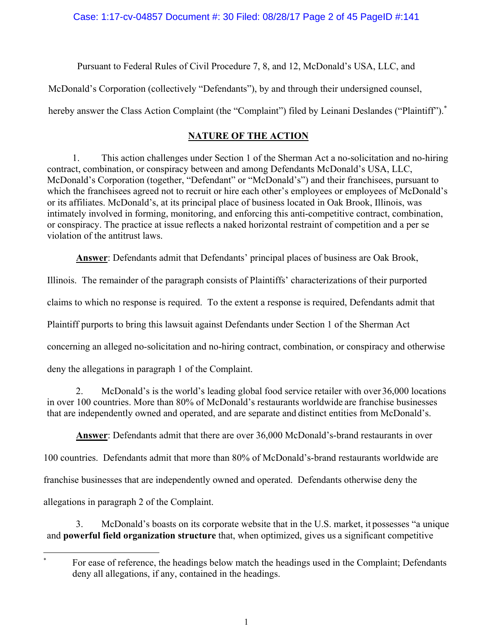Pursuant to Federal Rules of Civil Procedure 7, 8, and 12, McDonald's USA, LLC, and

McDonald's Corporation (collectively "Defendants"), by and through their undersigned counsel,

hereby answer the Class Action Complaint (the "Complaint") filed by Leinani Deslandes ("Plaintiff").<sup>\*</sup>

# **NATURE OF THE ACTION**

1. This action challenges under Section 1 of the Sherman Act a no-solicitation and no-hiring contract, combination, or conspiracy between and among Defendants McDonald's USA, LLC, McDonald's Corporation (together, "Defendant" or "McDonald's") and their franchisees, pursuant to which the franchisees agreed not to recruit or hire each other's employees or employees of McDonald's or its affiliates. McDonald's, at its principal place of business located in Oak Brook, Illinois, was intimately involved in forming, monitoring, and enforcing this anti-competitive contract, combination, or conspiracy. The practice at issue reflects a naked horizontal restraint of competition and a per se violation of the antitrust laws.

**Answer**: Defendants admit that Defendants' principal places of business are Oak Brook,

Illinois. The remainder of the paragraph consists of Plaintiffs' characterizations of their purported

claims to which no response is required. To the extent a response is required, Defendants admit that

Plaintiff purports to bring this lawsuit against Defendants under Section 1 of the Sherman Act

concerning an alleged no-solicitation and no-hiring contract, combination, or conspiracy and otherwise

deny the allegations in paragraph 1 of the Complaint.

2. McDonald's is the world's leading global food service retailer with over 36,000 locations in over 100 countries. More than 80% of McDonald's restaurants worldwide are franchise businesses that are independently owned and operated, and are separate and distinct entities from McDonald's.

**Answer**: Defendants admit that there are over 36,000 McDonald's-brand restaurants in over 100 countries. Defendants admit that more than 80% of McDonald's-brand restaurants worldwide are franchise businesses that are independently owned and operated. Defendants otherwise deny the allegations in paragraph 2 of the Complaint.

3. McDonald's boasts on its corporate website that in the U.S. market, it possesses "a unique and **powerful field organization structure** that, when optimized, gives us a significant competitive

 For ease of reference, the headings below match the headings used in the Complaint; Defendants deny all allegations, if any, contained in the headings.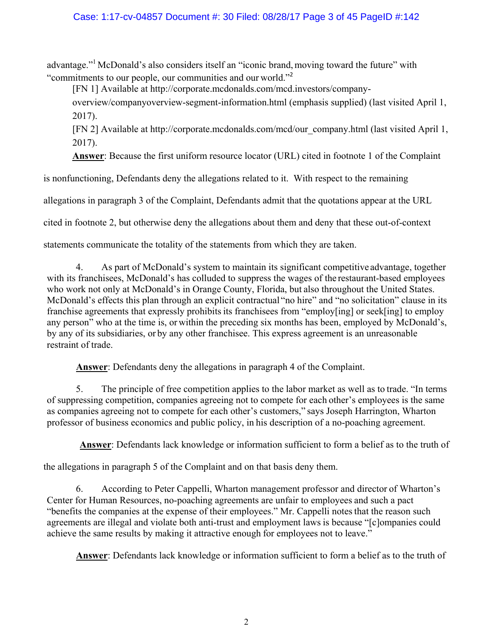# Case: 1:17-cv-04857 Document #: 30 Filed: 08/28/17 Page 3 of 45 PageID #:142

advantage."1 McDonald's also considers itself an "iconic brand, moving toward the future" with "commitments to our people, our communities and our world."<sup>2</sup>

[FN 1] Available at http://corporate.mcdonalds.com/mcd.investors/company-

overview/companyoverview-segment-information.html (emphasis supplied) (last visited April 1, 2017).

[FN 2] Available at http://corporate.mcdonalds.com/mcd/our\_company.html (last visited April 1, 2017).

**Answer**: Because the first uniform resource locator (URL) cited in footnote 1 of the Complaint

is nonfunctioning, Defendants deny the allegations related to it. With respect to the remaining

allegations in paragraph 3 of the Complaint, Defendants admit that the quotations appear at the URL

cited in footnote 2, but otherwise deny the allegations about them and deny that these out-of-context

statements communicate the totality of the statements from which they are taken.

4. As part of McDonald's system to maintain its significant competitive advantage, together with its franchisees, McDonald's has colluded to suppress the wages of the restaurant-based employees who work not only at McDonald's in Orange County, Florida, but also throughout the United States. McDonald's effects this plan through an explicit contractual "no hire" and "no solicitation" clause in its franchise agreements that expressly prohibits its franchisees from "employ[ing] or seek[ing] to employ any person" who at the time is, or within the preceding six months has been, employed by McDonald's, by any of its subsidiaries, or by any other franchisee. This express agreement is an unreasonable restraint of trade.

**Answer**: Defendants deny the allegations in paragraph 4 of the Complaint.

5. The principle of free competition applies to the labor market as well as to trade. "In terms of suppressing competition, companies agreeing not to compete for each other's employees is the same as companies agreeing not to compete for each other's customers," says Joseph Harrington, Wharton professor of business economics and public policy, in his description of a no-poaching agreement.

**Answer**: Defendants lack knowledge or information sufficient to form a belief as to the truth of

the allegations in paragraph 5 of the Complaint and on that basis deny them.

6. According to Peter Cappelli, Wharton management professor and director of Wharton's Center for Human Resources, no-poaching agreements are unfair to employees and such a pact "benefits the companies at the expense of their employees." Mr. Cappelli notes that the reason such agreements are illegal and violate both anti-trust and employment laws is because "[c]ompanies could achieve the same results by making it attractive enough for employees not to leave."

**Answer**: Defendants lack knowledge or information sufficient to form a belief as to the truth of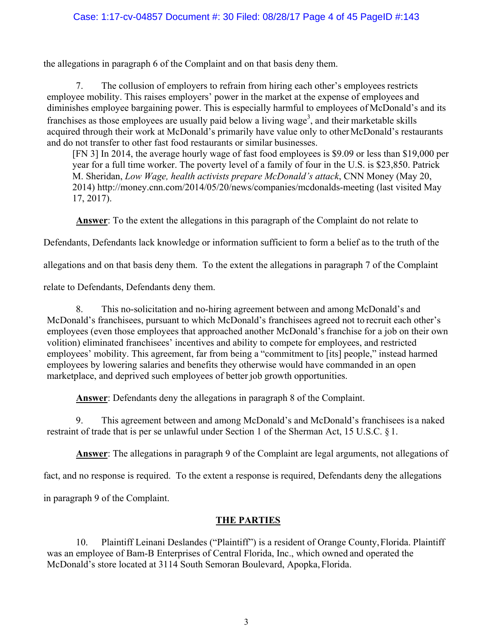# Case: 1:17-cv-04857 Document #: 30 Filed: 08/28/17 Page 4 of 45 PageID #:143

the allegations in paragraph 6 of the Complaint and on that basis deny them.

7. The collusion of employers to refrain from hiring each other's employees restricts employee mobility. This raises employers' power in the market at the expense of employees and diminishes employee bargaining power. This is especially harmful to employees of McDonald's and its franchises as those employees are usually paid below a living wage<sup>3</sup>, and their marketable skills acquired through their work at McDonald's primarily have value only to other McDonald's restaurants and do not transfer to other fast food restaurants or similar businesses.

[FN 3] In 2014, the average hourly wage of fast food employees is \$9.09 or less than \$19,000 per year for a full time worker. The poverty level of a family of four in the U.S. is \$23,850. Patrick M. Sheridan, *Low Wage, health activists prepare McDonald's attack*, CNN Money (May 20, 2014) http://money.cnn.com/2014/05/20/news/companies/mcdonalds-meeting (last visited May 17, 2017).

**Answer**: To the extent the allegations in this paragraph of the Complaint do not relate to

Defendants, Defendants lack knowledge or information sufficient to form a belief as to the truth of the

allegations and on that basis deny them. To the extent the allegations in paragraph 7 of the Complaint

relate to Defendants, Defendants deny them.

8. This no-solicitation and no-hiring agreement between and among McDonald's and McDonald's franchisees, pursuant to which McDonald's franchisees agreed not to recruit each other's employees (even those employees that approached another McDonald's franchise for a job on their own volition) eliminated franchisees' incentives and ability to compete for employees, and restricted employees' mobility. This agreement, far from being a "commitment to [its] people," instead harmed employees by lowering salaries and benefits they otherwise would have commanded in an open marketplace, and deprived such employees of better job growth opportunities.

**Answer**: Defendants deny the allegations in paragraph 8 of the Complaint.

9. This agreement between and among McDonald's and McDonald's franchisees is a naked restraint of trade that is per se unlawful under Section 1 of the Sherman Act, 15 U.S.C. § 1.

**Answer**: The allegations in paragraph 9 of the Complaint are legal arguments, not allegations of

fact, and no response is required. To the extent a response is required, Defendants deny the allegations

in paragraph 9 of the Complaint.

# **THE PARTIES**

10. Plaintiff Leinani Deslandes ("Plaintiff") is a resident of Orange County, Florida. Plaintiff was an employee of Bam-B Enterprises of Central Florida, Inc., which owned and operated the McDonald's store located at 3114 South Semoran Boulevard, Apopka, Florida.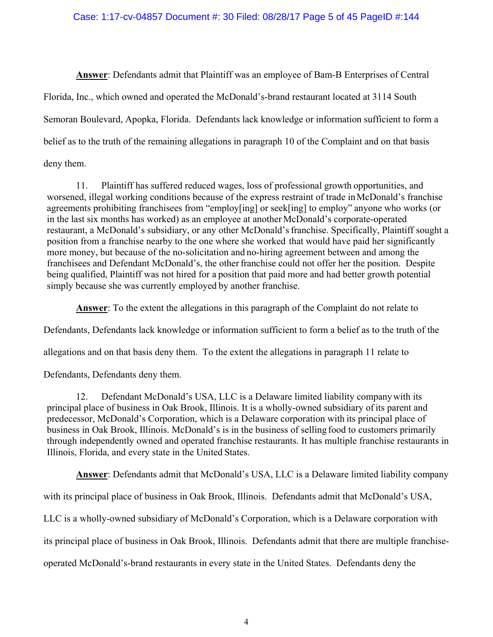### Case: 1:17-cv-04857 Document #: 30 Filed: 08/28/17 Page 5 of 45 PageID #:144

**Answer**: Defendants admit that Plaintiff was an employee of Bam-B Enterprises of Central Florida, Inc., which owned and operated the McDonald's-brand restaurant located at 3114 South Semoran Boulevard, Apopka, Florida. Defendants lack knowledge or information sufficient to form a belief as to the truth of the remaining allegations in paragraph 10 of the Complaint and on that basis deny them.

11. Plaintiff has suffered reduced wages, loss of professional growth opportunities, and worsened, illegal working conditions because of the express restraint of trade in McDonald's franchise agreements prohibiting franchisees from "employ[ing] or seek[ing] to employ" anyone who works (or in the last six months has worked) as an employee at another McDonald's corporate-operated restaurant, a McDonald's subsidiary, or any other McDonald's franchise. Specifically, Plaintiff sought a position from a franchise nearby to the one where she worked that would have paid her significantly more money, but because of the no-solicitation and no-hiring agreement between and among the franchisees and Defendant McDonald's, the other franchise could not offer her the position. Despite being qualified, Plaintiff was not hired for a position that paid more and had better growth potential simply because she was currently employed by another franchise.

**Answer**: To the extent the allegations in this paragraph of the Complaint do not relate to

Defendants, Defendants lack knowledge or information sufficient to form a belief as to the truth of the

allegations and on that basis deny them. To the extent the allegations in paragraph 11 relate to

Defendants, Defendants deny them.

12. Defendant McDonald's USA, LLC is a Delaware limited liability company with its principal place of business in Oak Brook, Illinois. It is a wholly-owned subsidiary of its parent and predecessor, McDonald's Corporation, which is a Delaware corporation with its principal place of business in Oak Brook, Illinois. McDonald's is in the business of selling food to customers primarily through independently owned and operated franchise restaurants. It has multiple franchise restaurants in Illinois, Florida, and every state in the United States.

**Answer**: Defendants admit that McDonald's USA, LLC is a Delaware limited liability company with its principal place of business in Oak Brook, Illinois. Defendants admit that McDonald's USA, LLC is a wholly-owned subsidiary of McDonald's Corporation, which is a Delaware corporation with its principal place of business in Oak Brook, Illinois. Defendants admit that there are multiple franchiseoperated McDonald's-brand restaurants in every state in the United States. Defendants deny the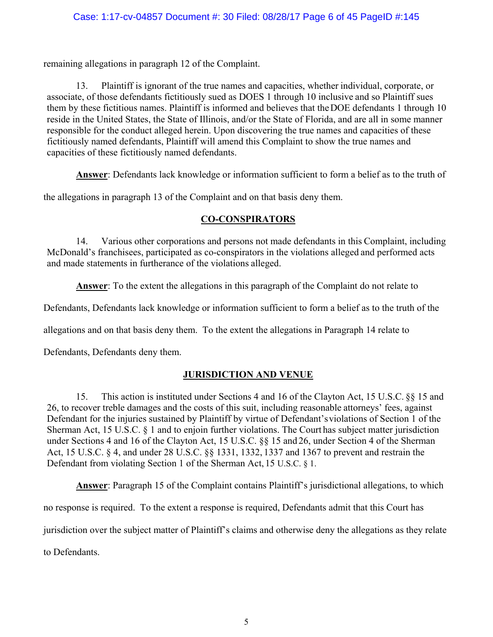remaining allegations in paragraph 12 of the Complaint.

13. Plaintiff is ignorant of the true names and capacities, whether individual, corporate, or associate, of those defendants fictitiously sued as DOES 1 through 10 inclusive and so Plaintiff sues them by these fictitious names. Plaintiff is informed and believes that the DOE defendants 1 through 10 reside in the United States, the State of Illinois, and/or the State of Florida, and are all in some manner responsible for the conduct alleged herein. Upon discovering the true names and capacities of these fictitiously named defendants, Plaintiff will amend this Complaint to show the true names and capacities of these fictitiously named defendants.

**Answer**: Defendants lack knowledge or information sufficient to form a belief as to the truth of

the allegations in paragraph 13 of the Complaint and on that basis deny them.

# **CO-CONSPIRATORS**

14. Various other corporations and persons not made defendants in this Complaint, including McDonald's franchisees, participated as co-conspirators in the violations alleged and performed acts and made statements in furtherance of the violations alleged.

**Answer**: To the extent the allegations in this paragraph of the Complaint do not relate to

Defendants, Defendants lack knowledge or information sufficient to form a belief as to the truth of the

allegations and on that basis deny them. To the extent the allegations in Paragraph 14 relate to

Defendants, Defendants deny them.

# **JURISDICTION AND VENUE**

15. This action is instituted under Sections 4 and 16 of the Clayton Act, 15 U.S.C. §§ 15 and 26, to recover treble damages and the costs of this suit, including reasonable attorneys' fees, against Defendant for the injuries sustained by Plaintiff by virtue of Defendant's violations of Section 1 of the Sherman Act, 15 U.S.C. § 1 and to enjoin further violations. The Court has subject matter jurisdiction under Sections 4 and 16 of the Clayton Act, 15 U.S.C. §§ 15 and 26, under Section 4 of the Sherman Act, 15 U.S.C. § 4, and under 28 U.S.C. §§ 1331, 1332, 1337 and 1367 to prevent and restrain the Defendant from violating Section 1 of the Sherman Act, 15 U.S.C. § 1.

**Answer**: Paragraph 15 of the Complaint contains Plaintiff's jurisdictional allegations, to which no response is required. To the extent a response is required, Defendants admit that this Court has jurisdiction over the subject matter of Plaintiff's claims and otherwise deny the allegations as they relate to Defendants.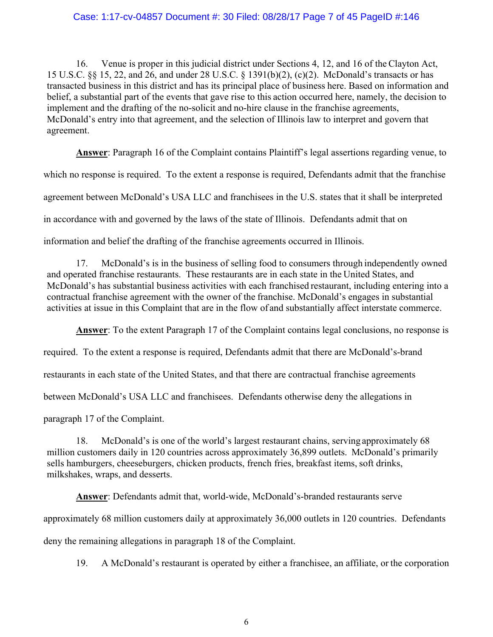### Case: 1:17-cv-04857 Document #: 30 Filed: 08/28/17 Page 7 of 45 PageID #:146

16. Venue is proper in this judicial district under Sections 4, 12, and 16 of the Clayton Act, 15 U.S.C. §§ 15, 22, and 26, and under 28 U.S.C. § 1391(b)(2), (c)(2). McDonald's transacts or has transacted business in this district and has its principal place of business here. Based on information and belief, a substantial part of the events that gave rise to this action occurred here, namely, the decision to implement and the drafting of the no-solicit and no-hire clause in the franchise agreements, McDonald's entry into that agreement, and the selection of Illinois law to interpret and govern that agreement.

**Answer**: Paragraph 16 of the Complaint contains Plaintiff's legal assertions regarding venue, to which no response is required. To the extent a response is required, Defendants admit that the franchise agreement between McDonald's USA LLC and franchisees in the U.S. states that it shall be interpreted in accordance with and governed by the laws of the state of Illinois. Defendants admit that on information and belief the drafting of the franchise agreements occurred in Illinois.

17. McDonald's is in the business of selling food to consumers through independently owned and operated franchise restaurants. These restaurants are in each state in the United States, and McDonald's has substantial business activities with each franchised restaurant, including entering into a contractual franchise agreement with the owner of the franchise. McDonald's engages in substantial activities at issue in this Complaint that are in the flow of and substantially affect interstate commerce.

**Answer**: To the extent Paragraph 17 of the Complaint contains legal conclusions, no response is required. To the extent a response is required, Defendants admit that there are McDonald's-brand restaurants in each state of the United States, and that there are contractual franchise agreements between McDonald's USA LLC and franchisees. Defendants otherwise deny the allegations in paragraph 17 of the Complaint.

18. McDonald's is one of the world's largest restaurant chains, serving approximately 68 million customers daily in 120 countries across approximately 36,899 outlets. McDonald's primarily sells hamburgers, cheeseburgers, chicken products, french fries, breakfast items, soft drinks, milkshakes, wraps, and desserts.

**Answer**: Defendants admit that, world-wide, McDonald's-branded restaurants serve approximately 68 million customers daily at approximately 36,000 outlets in 120 countries. Defendants deny the remaining allegations in paragraph 18 of the Complaint.

19. A McDonald's restaurant is operated by either a franchisee, an affiliate, or the corporation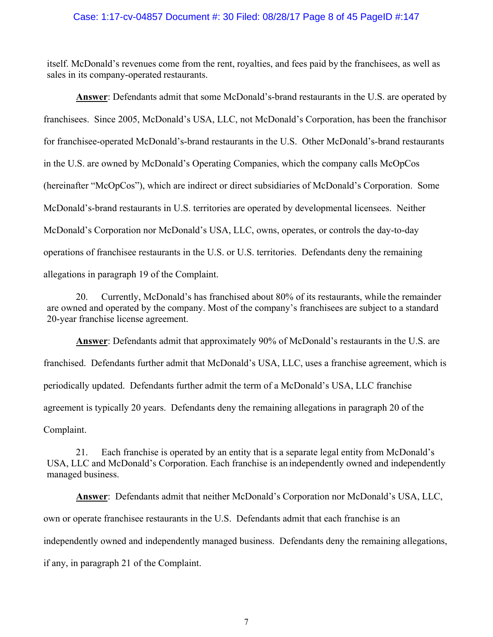#### Case: 1:17-cv-04857 Document #: 30 Filed: 08/28/17 Page 8 of 45 PageID #:147

itself. McDonald's revenues come from the rent, royalties, and fees paid by the franchisees, as well as sales in its company-operated restaurants.

**Answer**: Defendants admit that some McDonald's-brand restaurants in the U.S. are operated by franchisees. Since 2005, McDonald's USA, LLC, not McDonald's Corporation, has been the franchisor for franchisee-operated McDonald's-brand restaurants in the U.S. Other McDonald's-brand restaurants in the U.S. are owned by McDonald's Operating Companies, which the company calls McOpCos (hereinafter "McOpCos"), which are indirect or direct subsidiaries of McDonald's Corporation. Some McDonald's-brand restaurants in U.S. territories are operated by developmental licensees. Neither McDonald's Corporation nor McDonald's USA, LLC, owns, operates, or controls the day-to-day operations of franchisee restaurants in the U.S. or U.S. territories. Defendants deny the remaining allegations in paragraph 19 of the Complaint.

20. Currently, McDonald's has franchised about 80% of its restaurants, while the remainder are owned and operated by the company. Most of the company's franchisees are subject to a standard 20-year franchise license agreement.

**Answer**: Defendants admit that approximately 90% of McDonald's restaurants in the U.S. are franchised. Defendants further admit that McDonald's USA, LLC, uses a franchise agreement, which is periodically updated. Defendants further admit the term of a McDonald's USA, LLC franchise agreement is typically 20 years. Defendants deny the remaining allegations in paragraph 20 of the Complaint.

21. Each franchise is operated by an entity that is a separate legal entity from McDonald's USA, LLC and McDonald's Corporation. Each franchise is an independently owned and independently managed business.

**Answer**: Defendants admit that neither McDonald's Corporation nor McDonald's USA, LLC, own or operate franchisee restaurants in the U.S. Defendants admit that each franchise is an independently owned and independently managed business. Defendants deny the remaining allegations, if any, in paragraph 21 of the Complaint.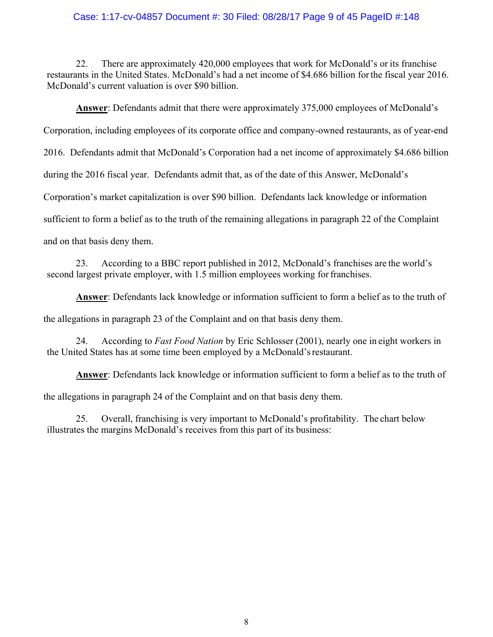#### Case: 1:17-cv-04857 Document #: 30 Filed: 08/28/17 Page 9 of 45 PageID #:148

22. There are approximately 420,000 employees that work for McDonald's or its franchise restaurants in the United States. McDonald's had a net income of \$4.686 billion for the fiscal year 2016. McDonald's current valuation is over \$90 billion.

**Answer**: Defendants admit that there were approximately 375,000 employees of McDonald's Corporation, including employees of its corporate office and company-owned restaurants, as of year-end 2016. Defendants admit that McDonald's Corporation had a net income of approximately \$4.686 billion during the 2016 fiscal year. Defendants admit that, as of the date of this Answer, McDonald's Corporation's market capitalization is over \$90 billion. Defendants lack knowledge or information sufficient to form a belief as to the truth of the remaining allegations in paragraph 22 of the Complaint and on that basis deny them.

23. According to a BBC report published in 2012, McDonald's franchises are the world's second largest private employer, with 1.5 million employees working for franchises.

**Answer**: Defendants lack knowledge or information sufficient to form a belief as to the truth of

the allegations in paragraph 23 of the Complaint and on that basis deny them.

24. According to *Fast Food Nation* by Eric Schlosser (2001), nearly one in eight workers in the United States has at some time been employed by a McDonald's restaurant.

**Answer**: Defendants lack knowledge or information sufficient to form a belief as to the truth of the allegations in paragraph 24 of the Complaint and on that basis deny them.

25. Overall, franchising is very important to McDonald's profitability. The chart below illustrates the margins McDonald's receives from this part of its business: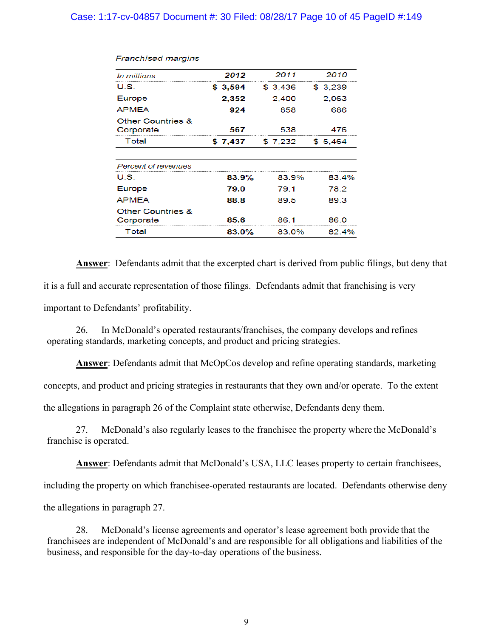# Case: 1:17-cv-04857 Document #: 30 Filed: 08/28/17 Page 10 of 45 PageID #:149

| In millions                               | 2012    | 2011     | 2010     |
|-------------------------------------------|---------|----------|----------|
| U.S.                                      | \$3,594 | \$ 3.436 | \$ 3.239 |
| Europe                                    | 2,352   | 2.400    | 2.063    |
| APMEA                                     | 924     | 858      | 686      |
| <b>Other Countries &amp;</b><br>Corporate | 567     | 538      | 476      |
| Total                                     | \$7,437 | \$7,232  | \$6.464  |
|                                           |         |          |          |
| Percent of revenues                       |         |          |          |
| U.S.                                      | 83.9%   | 83.9%    | 83.4%    |
| Europe                                    | 79.0    | 79.1     | 78.2     |
| APMEA                                     | 88.8    | 89.5     | 89.3     |
| <b>Other Countries &amp;</b><br>Corporate | 85.6    | 86.1     | 86.0     |
| Total                                     | 83.0%   | 83.0%    | 82.4%    |
|                                           |         |          |          |

#### **Franchised margins**

**Answer**: Defendants admit that the excerpted chart is derived from public filings, but deny that it is a full and accurate representation of those filings. Defendants admit that franchising is very important to Defendants' profitability.

26. In McDonald's operated restaurants/franchises, the company develops and refines operating standards, marketing concepts, and product and pricing strategies.

**Answer**: Defendants admit that McOpCos develop and refine operating standards, marketing

concepts, and product and pricing strategies in restaurants that they own and/or operate. To the extent

the allegations in paragraph 26 of the Complaint state otherwise, Defendants deny them.

27. McDonald's also regularly leases to the franchisee the property where the McDonald's franchise is operated.

**Answer**: Defendants admit that McDonald's USA, LLC leases property to certain franchisees,

including the property on which franchisee-operated restaurants are located. Defendants otherwise deny

the allegations in paragraph 27.

28. McDonald's license agreements and operator's lease agreement both provide that the franchisees are independent of McDonald's and are responsible for all obligations and liabilities of the business, and responsible for the day-to-day operations of the business.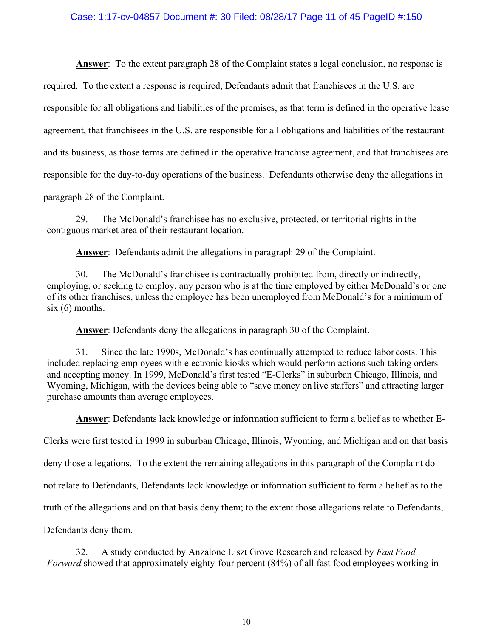#### Case: 1:17-cv-04857 Document #: 30 Filed: 08/28/17 Page 11 of 45 PageID #:150

**Answer**: To the extent paragraph 28 of the Complaint states a legal conclusion, no response is required. To the extent a response is required, Defendants admit that franchisees in the U.S. are responsible for all obligations and liabilities of the premises, as that term is defined in the operative lease agreement, that franchisees in the U.S. are responsible for all obligations and liabilities of the restaurant and its business, as those terms are defined in the operative franchise agreement, and that franchisees are responsible for the day-to-day operations of the business. Defendants otherwise deny the allegations in paragraph 28 of the Complaint.

29. The McDonald's franchisee has no exclusive, protected, or territorial rights in the contiguous market area of their restaurant location.

**Answer**: Defendants admit the allegations in paragraph 29 of the Complaint.

30. The McDonald's franchisee is contractually prohibited from, directly or indirectly, employing, or seeking to employ, any person who is at the time employed by either McDonald's or one of its other franchises, unless the employee has been unemployed from McDonald's for a minimum of  $six(6)$  months.

**Answer**: Defendants deny the allegations in paragraph 30 of the Complaint.

31. Since the late 1990s, McDonald's has continually attempted to reduce labor costs. This included replacing employees with electronic kiosks which would perform actions such taking orders and accepting money. In 1999, McDonald's first tested "E-Clerks" in suburban Chicago, Illinois, and Wyoming, Michigan, with the devices being able to "save money on live staffers" and attracting larger purchase amounts than average employees.

**Answer**: Defendants lack knowledge or information sufficient to form a belief as to whether E-

Clerks were first tested in 1999 in suburban Chicago, Illinois, Wyoming, and Michigan and on that basis

deny those allegations. To the extent the remaining allegations in this paragraph of the Complaint do

not relate to Defendants, Defendants lack knowledge or information sufficient to form a belief as to the

truth of the allegations and on that basis deny them; to the extent those allegations relate to Defendants,

Defendants deny them.

32. A study conducted by Anzalone Liszt Grove Research and released by *Fast Food Forward* showed that approximately eighty-four percent (84%) of all fast food employees working in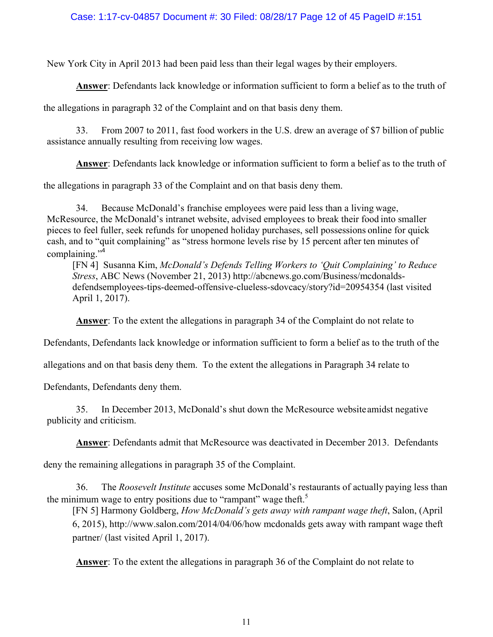# Case: 1:17-cv-04857 Document #: 30 Filed: 08/28/17 Page 12 of 45 PageID #:151

New York City in April 2013 had been paid less than their legal wages by their employers.

**Answer**: Defendants lack knowledge or information sufficient to form a belief as to the truth of

the allegations in paragraph 32 of the Complaint and on that basis deny them.

33. From 2007 to 2011, fast food workers in the U.S. drew an average of \$7 billion of public assistance annually resulting from receiving low wages.

**Answer**: Defendants lack knowledge or information sufficient to form a belief as to the truth of

the allegations in paragraph 33 of the Complaint and on that basis deny them.

34. Because McDonald's franchise employees were paid less than a living wage, McResource, the McDonald's intranet website, advised employees to break their food into smaller pieces to feel fuller, seek refunds for unopened holiday purchases, sell possessions online for quick cash, and to "quit complaining" as "stress hormone levels rise by 15 percent after ten minutes of complaining."<sup>4</sup>

[FN 4] Susanna Kim, *McDonald's Defends Telling Workers to 'Quit Complaining' to Reduce Stress*, ABC News (November 21, 2013) http://abcnews.go.com/Business/mcdonaldsdefendsemployees-tips-deemed-offensive-clueless-sdovcacy/story?id=20954354 (last visited April 1, 2017).

**Answer**: To the extent the allegations in paragraph 34 of the Complaint do not relate to

Defendants, Defendants lack knowledge or information sufficient to form a belief as to the truth of the

allegations and on that basis deny them. To the extent the allegations in Paragraph 34 relate to

Defendants, Defendants deny them.

35. In December 2013, McDonald's shut down the McResource website amidst negative publicity and criticism.

**Answer**: Defendants admit that McResource was deactivated in December 2013. Defendants

deny the remaining allegations in paragraph 35 of the Complaint.

36. The *Roosevelt Institute* accuses some McDonald's restaurants of actually paying less than the minimum wage to entry positions due to "rampant" wage theft.<sup>5</sup>

[FN 5] Harmony Goldberg, *How McDonald's gets away with rampant wage theft*, Salon, (April 6, 2015), http://www.salon.com/2014/04/06/how mcdonalds gets away with rampant wage theft partner/ (last visited April 1, 2017).

**Answer**: To the extent the allegations in paragraph 36 of the Complaint do not relate to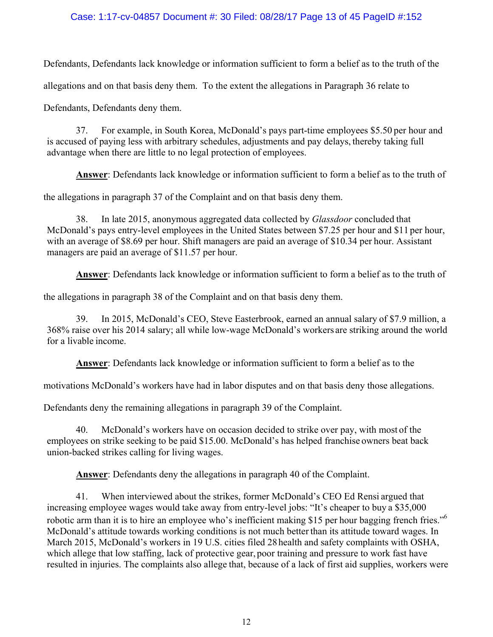# Case: 1:17-cv-04857 Document #: 30 Filed: 08/28/17 Page 13 of 45 PageID #:152

Defendants, Defendants lack knowledge or information sufficient to form a belief as to the truth of the

allegations and on that basis deny them. To the extent the allegations in Paragraph 36 relate to

Defendants, Defendants deny them.

37. For example, in South Korea, McDonald's pays part-time employees \$5.50 per hour and is accused of paying less with arbitrary schedules, adjustments and pay delays, thereby taking full advantage when there are little to no legal protection of employees.

**Answer**: Defendants lack knowledge or information sufficient to form a belief as to the truth of

the allegations in paragraph 37 of the Complaint and on that basis deny them.

38. In late 2015, anonymous aggregated data collected by *Glassdoor* concluded that McDonald's pays entry-level employees in the United States between \$7.25 per hour and \$11 per hour, with an average of \$8.69 per hour. Shift managers are paid an average of \$10.34 per hour. Assistant managers are paid an average of \$11.57 per hour.

**Answer**: Defendants lack knowledge or information sufficient to form a belief as to the truth of

the allegations in paragraph 38 of the Complaint and on that basis deny them.

39. In 2015, McDonald's CEO, Steve Easterbrook, earned an annual salary of \$7.9 million, a 368% raise over his 2014 salary; all while low-wage McDonald's workers are striking around the world for a livable income.

**Answer**: Defendants lack knowledge or information sufficient to form a belief as to the

motivations McDonald's workers have had in labor disputes and on that basis deny those allegations.

Defendants deny the remaining allegations in paragraph 39 of the Complaint.

40. McDonald's workers have on occasion decided to strike over pay, with most of the employees on strike seeking to be paid \$15.00. McDonald's has helped franchise owners beat back union-backed strikes calling for living wages.

**Answer**: Defendants deny the allegations in paragraph 40 of the Complaint.

41. When interviewed about the strikes, former McDonald's CEO Ed Rensi argued that increasing employee wages would take away from entry-level jobs: "It's cheaper to buy a \$35,000 robotic arm than it is to hire an employee who's inefficient making \$15 per hour bagging french fries."<sup>6</sup> McDonald's attitude towards working conditions is not much better than its attitude toward wages. In March 2015, McDonald's workers in 19 U.S. cities filed 28 health and safety complaints with OSHA, which allege that low staffing, lack of protective gear, poor training and pressure to work fast have resulted in injuries. The complaints also allege that, because of a lack of first aid supplies, workers were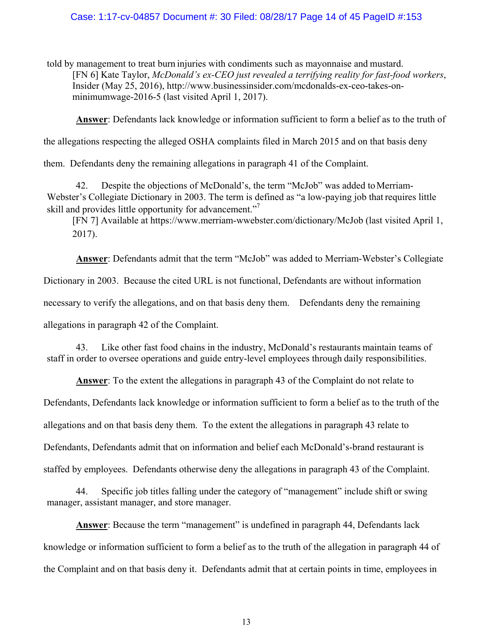#### Case: 1:17-cv-04857 Document #: 30 Filed: 08/28/17 Page 14 of 45 PageID #:153

told by management to treat burn injuries with condiments such as mayonnaise and mustard. [FN 6] Kate Taylor, *McDonald's ex-CEO just revealed a terrifying reality for fast-food workers*, Insider (May 25, 2016), http://www.businessinsider.com/mcdonalds-ex-ceo-takes-onminimumwage-2016-5 (last visited April 1, 2017).

**Answer**: Defendants lack knowledge or information sufficient to form a belief as to the truth of

the allegations respecting the alleged OSHA complaints filed in March 2015 and on that basis deny

them. Defendants deny the remaining allegations in paragraph 41 of the Complaint.

42. Despite the objections of McDonald's, the term "McJob" was added to Merriam-Webster's Collegiate Dictionary in 2003. The term is defined as "a low-paying job that requires little skill and provides little opportunity for advancement."<sup>7</sup>

[FN 7] Available at https://www.merriam-wwebster.com/dictionary/McJob (last visited April 1, 2017).

**Answer**: Defendants admit that the term "McJob" was added to Merriam-Webster's Collegiate Dictionary in 2003. Because the cited URL is not functional, Defendants are without information necessary to verify the allegations, and on that basis deny them. Defendants deny the remaining allegations in paragraph 42 of the Complaint.

43. Like other fast food chains in the industry, McDonald's restaurants maintain teams of staff in order to oversee operations and guide entry-level employees through daily responsibilities.

**Answer**: To the extent the allegations in paragraph 43 of the Complaint do not relate to Defendants, Defendants lack knowledge or information sufficient to form a belief as to the truth of the allegations and on that basis deny them. To the extent the allegations in paragraph 43 relate to Defendants, Defendants admit that on information and belief each McDonald's-brand restaurant is staffed by employees. Defendants otherwise deny the allegations in paragraph 43 of the Complaint.

44. Specific job titles falling under the category of "management" include shift or swing manager, assistant manager, and store manager.

**Answer**: Because the term "management" is undefined in paragraph 44, Defendants lack knowledge or information sufficient to form a belief as to the truth of the allegation in paragraph 44 of the Complaint and on that basis deny it. Defendants admit that at certain points in time, employees in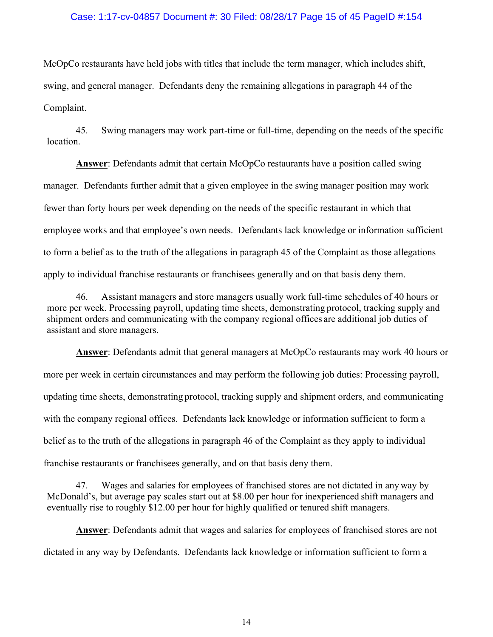#### Case: 1:17-cv-04857 Document #: 30 Filed: 08/28/17 Page 15 of 45 PageID #:154

McOpCo restaurants have held jobs with titles that include the term manager, which includes shift, swing, and general manager. Defendants deny the remaining allegations in paragraph 44 of the Complaint.

45. Swing managers may work part-time or full-time, depending on the needs of the specific location.

**Answer**: Defendants admit that certain McOpCo restaurants have a position called swing manager. Defendants further admit that a given employee in the swing manager position may work fewer than forty hours per week depending on the needs of the specific restaurant in which that employee works and that employee's own needs. Defendants lack knowledge or information sufficient to form a belief as to the truth of the allegations in paragraph 45 of the Complaint as those allegations apply to individual franchise restaurants or franchisees generally and on that basis deny them.

46. Assistant managers and store managers usually work full-time schedules of 40 hours or more per week. Processing payroll, updating time sheets, demonstrating protocol, tracking supply and shipment orders and communicating with the company regional offices are additional job duties of assistant and store managers.

**Answer**: Defendants admit that general managers at McOpCo restaurants may work 40 hours or more per week in certain circumstances and may perform the following job duties: Processing payroll, updating time sheets, demonstrating protocol, tracking supply and shipment orders, and communicating with the company regional offices. Defendants lack knowledge or information sufficient to form a belief as to the truth of the allegations in paragraph 46 of the Complaint as they apply to individual franchise restaurants or franchisees generally, and on that basis deny them.

47. Wages and salaries for employees of franchised stores are not dictated in any way by McDonald's, but average pay scales start out at \$8.00 per hour for inexperienced shift managers and eventually rise to roughly \$12.00 per hour for highly qualified or tenured shift managers.

**Answer**: Defendants admit that wages and salaries for employees of franchised stores are not dictated in any way by Defendants. Defendants lack knowledge or information sufficient to form a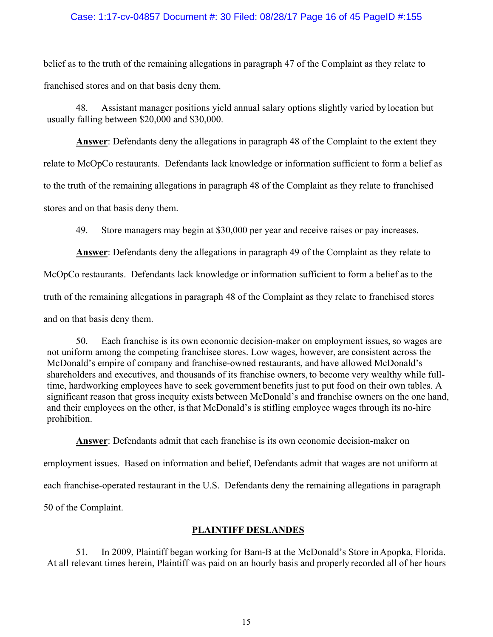### Case: 1:17-cv-04857 Document #: 30 Filed: 08/28/17 Page 16 of 45 PageID #:155

belief as to the truth of the remaining allegations in paragraph 47 of the Complaint as they relate to franchised stores and on that basis deny them.

48. Assistant manager positions yield annual salary options slightly varied by location but usually falling between \$20,000 and \$30,000.

**Answer**: Defendants deny the allegations in paragraph 48 of the Complaint to the extent they relate to McOpCo restaurants. Defendants lack knowledge or information sufficient to form a belief as to the truth of the remaining allegations in paragraph 48 of the Complaint as they relate to franchised stores and on that basis deny them.

49. Store managers may begin at \$30,000 per year and receive raises or pay increases.

**Answer**: Defendants deny the allegations in paragraph 49 of the Complaint as they relate to McOpCo restaurants. Defendants lack knowledge or information sufficient to form a belief as to the truth of the remaining allegations in paragraph 48 of the Complaint as they relate to franchised stores and on that basis deny them.

50. Each franchise is its own economic decision-maker on employment issues, so wages are not uniform among the competing franchisee stores. Low wages, however, are consistent across the McDonald's empire of company and franchise-owned restaurants, and have allowed McDonald's shareholders and executives, and thousands of its franchise owners, to become very wealthy while fulltime, hardworking employees have to seek government benefits just to put food on their own tables. A significant reason that gross inequity exists between McDonald's and franchise owners on the one hand, and their employees on the other, is that McDonald's is stifling employee wages through its no-hire prohibition.

**Answer**: Defendants admit that each franchise is its own economic decision-maker on employment issues. Based on information and belief, Defendants admit that wages are not uniform at each franchise-operated restaurant in the U.S. Defendants deny the remaining allegations in paragraph 50 of the Complaint.

### **PLAINTIFF DESLANDES**

51. In 2009, Plaintiff began working for Bam-B at the McDonald's Store in Apopka, Florida. At all relevant times herein, Plaintiff was paid on an hourly basis and properly recorded all of her hours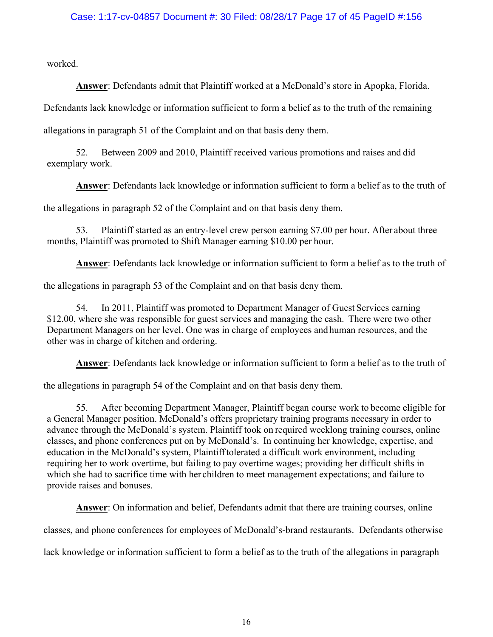worked.

**Answer**: Defendants admit that Plaintiff worked at a McDonald's store in Apopka, Florida.

Defendants lack knowledge or information sufficient to form a belief as to the truth of the remaining

allegations in paragraph 51 of the Complaint and on that basis deny them.

52. Between 2009 and 2010, Plaintiff received various promotions and raises and did exemplary work.

**Answer**: Defendants lack knowledge or information sufficient to form a belief as to the truth of

the allegations in paragraph 52 of the Complaint and on that basis deny them.

53. Plaintiff started as an entry-level crew person earning \$7.00 per hour. After about three months, Plaintiff was promoted to Shift Manager earning \$10.00 per hour.

**Answer**: Defendants lack knowledge or information sufficient to form a belief as to the truth of

the allegations in paragraph 53 of the Complaint and on that basis deny them.

54. In 2011, Plaintiff was promoted to Department Manager of Guest Services earning \$12.00, where she was responsible for guest services and managing the cash. There were two other Department Managers on her level. One was in charge of employees and human resources, and the other was in charge of kitchen and ordering.

**Answer**: Defendants lack knowledge or information sufficient to form a belief as to the truth of

the allegations in paragraph 54 of the Complaint and on that basis deny them.

55. After becoming Department Manager, Plaintiff began course work to become eligible for a General Manager position. McDonald's offers proprietary training programs necessary in order to advance through the McDonald's system. Plaintiff took on required weeklong training courses, online classes, and phone conferences put on by McDonald's. In continuing her knowledge, expertise, and education in the McDonald's system, Plaintiff tolerated a difficult work environment, including requiring her to work overtime, but failing to pay overtime wages; providing her difficult shifts in which she had to sacrifice time with her children to meet management expectations; and failure to provide raises and bonuses.

**Answer**: On information and belief, Defendants admit that there are training courses, online

classes, and phone conferences for employees of McDonald's-brand restaurants. Defendants otherwise

lack knowledge or information sufficient to form a belief as to the truth of the allegations in paragraph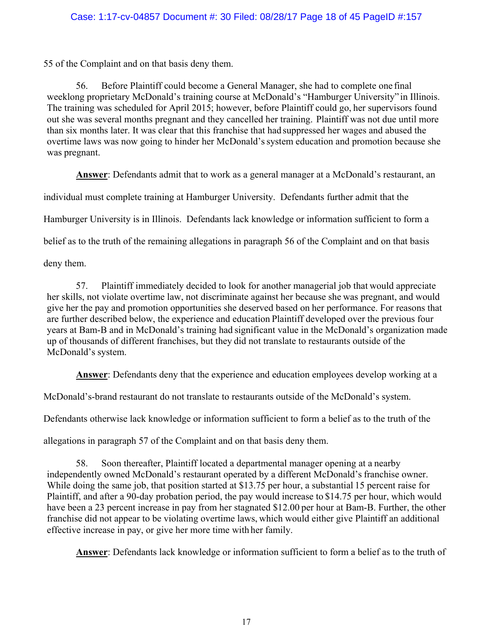# Case: 1:17-cv-04857 Document #: 30 Filed: 08/28/17 Page 18 of 45 PageID #:157

55 of the Complaint and on that basis deny them.

56. Before Plaintiff could become a General Manager, she had to complete one final weeklong proprietary McDonald's training course at McDonald's "Hamburger University" in Illinois. The training was scheduled for April 2015; however, before Plaintiff could go, her supervisors found out she was several months pregnant and they cancelled her training. Plaintiff was not due until more than six months later. It was clear that this franchise that had suppressed her wages and abused the overtime laws was now going to hinder her McDonald's system education and promotion because she was pregnant.

**Answer**: Defendants admit that to work as a general manager at a McDonald's restaurant, an

individual must complete training at Hamburger University. Defendants further admit that the

Hamburger University is in Illinois. Defendants lack knowledge or information sufficient to form a

belief as to the truth of the remaining allegations in paragraph 56 of the Complaint and on that basis

deny them.

57. Plaintiff immediately decided to look for another managerial job that would appreciate her skills, not violate overtime law, not discriminate against her because she was pregnant, and would give her the pay and promotion opportunities she deserved based on her performance. For reasons that are further described below, the experience and education Plaintiff developed over the previous four years at Bam-B and in McDonald's training had significant value in the McDonald's organization made up of thousands of different franchises, but they did not translate to restaurants outside of the McDonald's system.

**Answer**: Defendants deny that the experience and education employees develop working at a

McDonald's-brand restaurant do not translate to restaurants outside of the McDonald's system.

Defendants otherwise lack knowledge or information sufficient to form a belief as to the truth of the

allegations in paragraph 57 of the Complaint and on that basis deny them.

58. Soon thereafter, Plaintiff located a departmental manager opening at a nearby independently owned McDonald's restaurant operated by a different McDonald's franchise owner. While doing the same job, that position started at \$13.75 per hour, a substantial 15 percent raise for Plaintiff, and after a 90-day probation period, the pay would increase to \$14.75 per hour, which would have been a 23 percent increase in pay from her stagnated \$12.00 per hour at Bam-B. Further, the other franchise did not appear to be violating overtime laws, which would either give Plaintiff an additional effective increase in pay, or give her more time with her family.

**Answer**: Defendants lack knowledge or information sufficient to form a belief as to the truth of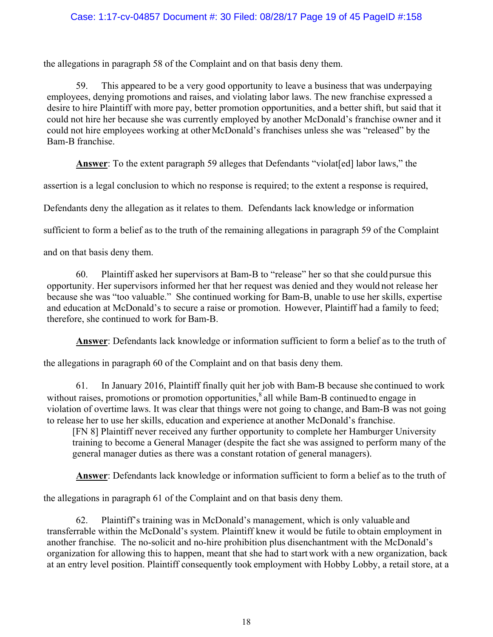# Case: 1:17-cv-04857 Document #: 30 Filed: 08/28/17 Page 19 of 45 PageID #:158

the allegations in paragraph 58 of the Complaint and on that basis deny them.

59. This appeared to be a very good opportunity to leave a business that was underpaying employees, denying promotions and raises, and violating labor laws. The new franchise expressed a desire to hire Plaintiff with more pay, better promotion opportunities, and a better shift, but said that it could not hire her because she was currently employed by another McDonald's franchise owner and it could not hire employees working at other McDonald's franchises unless she was "released" by the Bam-B franchise.

**Answer**: To the extent paragraph 59 alleges that Defendants "violat[ed] labor laws," the

assertion is a legal conclusion to which no response is required; to the extent a response is required,

Defendants deny the allegation as it relates to them. Defendants lack knowledge or information

sufficient to form a belief as to the truth of the remaining allegations in paragraph 59 of the Complaint

and on that basis deny them.

60. Plaintiff asked her supervisors at Bam-B to "release" her so that she could pursue this opportunity. Her supervisors informed her that her request was denied and they would not release her because she was "too valuable." She continued working for Bam-B, unable to use her skills, expertise and education at McDonald's to secure a raise or promotion. However, Plaintiff had a family to feed; therefore, she continued to work for Bam-B.

**Answer**: Defendants lack knowledge or information sufficient to form a belief as to the truth of

the allegations in paragraph 60 of the Complaint and on that basis deny them.

61. In January 2016, Plaintiff finally quit her job with Bam-B because she continued to work without raises, promotions or promotion opportunities,  $\frac{8}{3}$  all while Bam-B continued to engage in violation of overtime laws. It was clear that things were not going to change, and Bam-B was not going to release her to use her skills, education and experience at another McDonald's franchise.

[FN 8] Plaintiff never received any further opportunity to complete her Hamburger University training to become a General Manager (despite the fact she was assigned to perform many of the general manager duties as there was a constant rotation of general managers).

**Answer**: Defendants lack knowledge or information sufficient to form a belief as to the truth of

the allegations in paragraph 61 of the Complaint and on that basis deny them.

62. Plaintiff's training was in McDonald's management, which is only valuable and transferrable within the McDonald's system. Plaintiff knew it would be futile to obtain employment in another franchise. The no-solicit and no-hire prohibition plus disenchantment with the McDonald's organization for allowing this to happen, meant that she had to start work with a new organization, back at an entry level position. Plaintiff consequently took employment with Hobby Lobby, a retail store, at a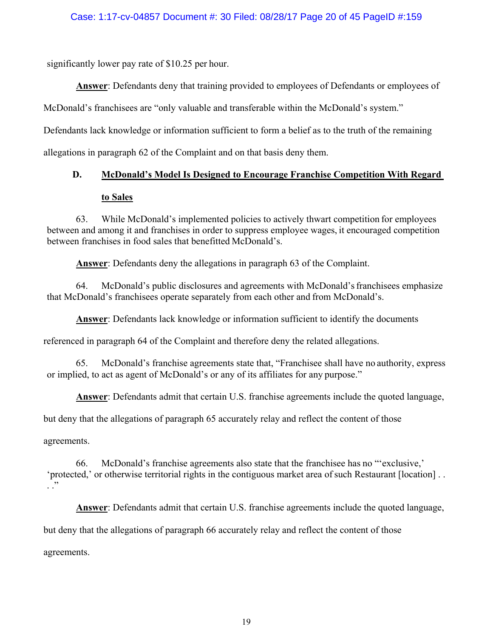significantly lower pay rate of \$10.25 per hour.

**Answer**: Defendants deny that training provided to employees of Defendants or employees of

McDonald's franchisees are "only valuable and transferable within the McDonald's system."

Defendants lack knowledge or information sufficient to form a belief as to the truth of the remaining

allegations in paragraph 62 of the Complaint and on that basis deny them.

# **D. McDonald's Model Is Designed to Encourage Franchise Competition With Regard to Sales**

63. While McDonald's implemented policies to actively thwart competition for employees between and among it and franchises in order to suppress employee wages, it encouraged competition between franchises in food sales that benefitted McDonald's.

**Answer**: Defendants deny the allegations in paragraph 63 of the Complaint.

64. McDonald's public disclosures and agreements with McDonald's franchisees emphasize that McDonald's franchisees operate separately from each other and from McDonald's.

**Answer**: Defendants lack knowledge or information sufficient to identify the documents

referenced in paragraph 64 of the Complaint and therefore deny the related allegations.

65. McDonald's franchise agreements state that, "Franchisee shall have no authority, express or implied, to act as agent of McDonald's or any of its affiliates for any purpose."

**Answer**: Defendants admit that certain U.S. franchise agreements include the quoted language,

but deny that the allegations of paragraph 65 accurately relay and reflect the content of those

agreements.

66. McDonald's franchise agreements also state that the franchisee has no "'exclusive,' 'protected,' or otherwise territorial rights in the contiguous market area of such Restaurant [location] . .  $\cdot$  .  $\cdot$ 

**Answer**: Defendants admit that certain U.S. franchise agreements include the quoted language,

but deny that the allegations of paragraph 66 accurately relay and reflect the content of those

agreements.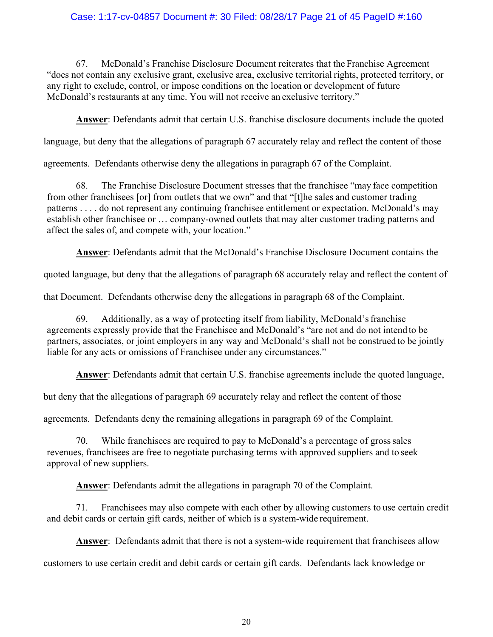# Case: 1:17-cv-04857 Document #: 30 Filed: 08/28/17 Page 21 of 45 PageID #:160

67. McDonald's Franchise Disclosure Document reiterates that the Franchise Agreement "does not contain any exclusive grant, exclusive area, exclusive territorial rights, protected territory, or any right to exclude, control, or impose conditions on the location or development of future McDonald's restaurants at any time. You will not receive an exclusive territory."

**Answer**: Defendants admit that certain U.S. franchise disclosure documents include the quoted

language, but deny that the allegations of paragraph 67 accurately relay and reflect the content of those

agreements. Defendants otherwise deny the allegations in paragraph 67 of the Complaint.

68. The Franchise Disclosure Document stresses that the franchisee "may face competition from other franchisees [or] from outlets that we own" and that "[t]he sales and customer trading patterns . . . . do not represent any continuing franchisee entitlement or expectation. McDonald's may establish other franchisee or … company-owned outlets that may alter customer trading patterns and affect the sales of, and compete with, your location."

**Answer**: Defendants admit that the McDonald's Franchise Disclosure Document contains the

quoted language, but deny that the allegations of paragraph 68 accurately relay and reflect the content of

that Document. Defendants otherwise deny the allegations in paragraph 68 of the Complaint.

69. Additionally, as a way of protecting itself from liability, McDonald's franchise agreements expressly provide that the Franchisee and McDonald's "are not and do not intend to be partners, associates, or joint employers in any way and McDonald's shall not be construed to be jointly liable for any acts or omissions of Franchisee under any circumstances."

**Answer**: Defendants admit that certain U.S. franchise agreements include the quoted language,

but deny that the allegations of paragraph 69 accurately relay and reflect the content of those

agreements. Defendants deny the remaining allegations in paragraph 69 of the Complaint.

70. While franchisees are required to pay to McDonald's a percentage of gross sales revenues, franchisees are free to negotiate purchasing terms with approved suppliers and to seek approval of new suppliers.

**Answer**: Defendants admit the allegations in paragraph 70 of the Complaint.

71. Franchisees may also compete with each other by allowing customers to use certain credit and debit cards or certain gift cards, neither of which is a system-wide requirement.

**Answer**: Defendants admit that there is not a system-wide requirement that franchisees allow

customers to use certain credit and debit cards or certain gift cards. Defendants lack knowledge or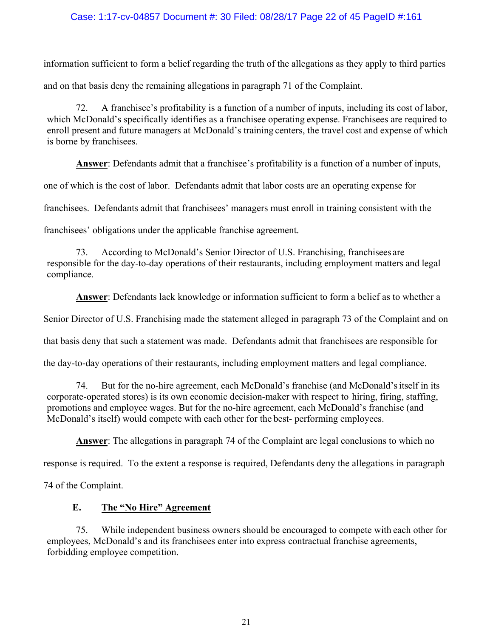# Case: 1:17-cv-04857 Document #: 30 Filed: 08/28/17 Page 22 of 45 PageID #:161

information sufficient to form a belief regarding the truth of the allegations as they apply to third parties and on that basis deny the remaining allegations in paragraph 71 of the Complaint.

72. A franchisee's profitability is a function of a number of inputs, including its cost of labor, which McDonald's specifically identifies as a franchisee operating expense. Franchisees are required to enroll present and future managers at McDonald's training centers, the travel cost and expense of which is borne by franchisees.

**Answer**: Defendants admit that a franchisee's profitability is a function of a number of inputs,

one of which is the cost of labor. Defendants admit that labor costs are an operating expense for

franchisees. Defendants admit that franchisees' managers must enroll in training consistent with the

franchisees' obligations under the applicable franchise agreement.

According to McDonald's Senior Director of U.S. Franchising, franchisees are responsible for the day-to-day operations of their restaurants, including employment matters and legal compliance.

**Answer**: Defendants lack knowledge or information sufficient to form a belief as to whether a

Senior Director of U.S. Franchising made the statement alleged in paragraph 73 of the Complaint and on

that basis deny that such a statement was made. Defendants admit that franchisees are responsible for

the day-to-day operations of their restaurants, including employment matters and legal compliance.

74. But for the no-hire agreement, each McDonald's franchise (and McDonald's itself in its corporate-operated stores) is its own economic decision-maker with respect to hiring, firing, staffing, promotions and employee wages. But for the no-hire agreement, each McDonald's franchise (and McDonald's itself) would compete with each other for the best- performing employees.

**Answer**: The allegations in paragraph 74 of the Complaint are legal conclusions to which no

response is required. To the extent a response is required, Defendants deny the allegations in paragraph

74 of the Complaint.

### **E. The "No Hire" Agreement**

75. While independent business owners should be encouraged to compete with each other for employees, McDonald's and its franchisees enter into express contractual franchise agreements, forbidding employee competition.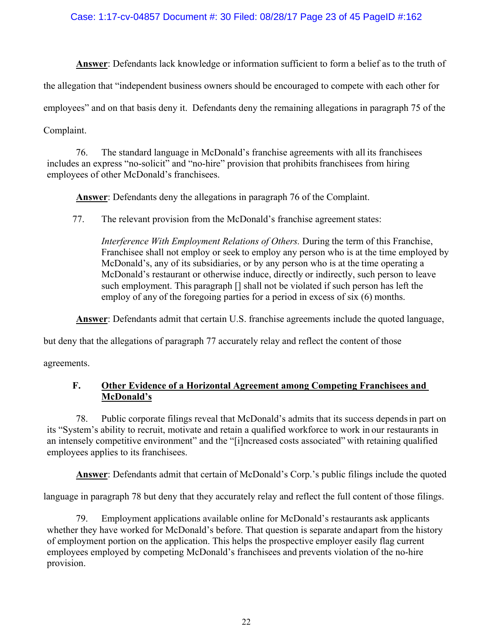# Case: 1:17-cv-04857 Document #: 30 Filed: 08/28/17 Page 23 of 45 PageID #:162

**Answer**: Defendants lack knowledge or information sufficient to form a belief as to the truth of

the allegation that "independent business owners should be encouraged to compete with each other for

employees" and on that basis deny it. Defendants deny the remaining allegations in paragraph 75 of the

Complaint.

76. The standard language in McDonald's franchise agreements with all its franchisees includes an express "no-solicit" and "no-hire" provision that prohibits franchisees from hiring employees of other McDonald's franchisees.

**Answer**: Defendants deny the allegations in paragraph 76 of the Complaint.

77. The relevant provision from the McDonald's franchise agreement states:

*Interference With Employment Relations of Others.* During the term of this Franchise, Franchisee shall not employ or seek to employ any person who is at the time employed by McDonald's, any of its subsidiaries, or by any person who is at the time operating a McDonald's restaurant or otherwise induce, directly or indirectly, such person to leave such employment. This paragraph [] shall not be violated if such person has left the employ of any of the foregoing parties for a period in excess of six (6) months.

**Answer**: Defendants admit that certain U.S. franchise agreements include the quoted language,

but deny that the allegations of paragraph 77 accurately relay and reflect the content of those

agreements.

# **F. Other Evidence of a Horizontal Agreement among Competing Franchisees and McDonald's**

78. Public corporate filings reveal that McDonald's admits that its success depends in part on its "System's ability to recruit, motivate and retain a qualified workforce to work in our restaurants in an intensely competitive environment" and the "[i]ncreased costs associated" with retaining qualified employees applies to its franchisees.

**Answer**: Defendants admit that certain of McDonald's Corp.'s public filings include the quoted

language in paragraph 78 but deny that they accurately relay and reflect the full content of those filings.

79. Employment applications available online for McDonald's restaurants ask applicants whether they have worked for McDonald's before. That question is separate and apart from the history of employment portion on the application. This helps the prospective employer easily flag current employees employed by competing McDonald's franchisees and prevents violation of the no-hire provision.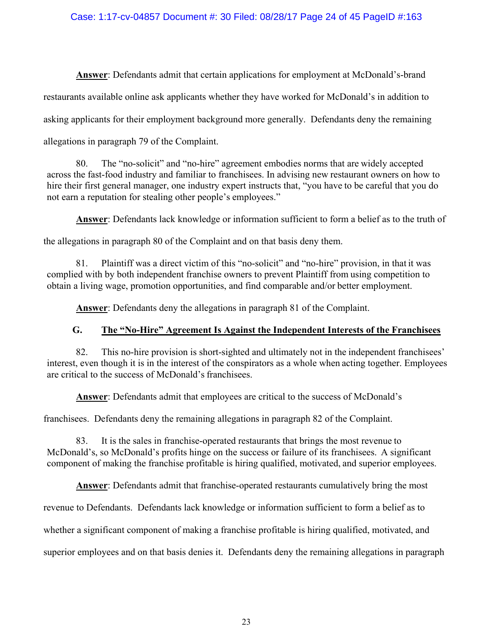# Case: 1:17-cv-04857 Document #: 30 Filed: 08/28/17 Page 24 of 45 PageID #:163

**Answer**: Defendants admit that certain applications for employment at McDonald's-brand restaurants available online ask applicants whether they have worked for McDonald's in addition to asking applicants for their employment background more generally. Defendants deny the remaining allegations in paragraph 79 of the Complaint.

80. The "no-solicit" and "no-hire" agreement embodies norms that are widely accepted across the fast-food industry and familiar to franchisees. In advising new restaurant owners on how to hire their first general manager, one industry expert instructs that, "you have to be careful that you do not earn a reputation for stealing other people's employees."

**Answer**: Defendants lack knowledge or information sufficient to form a belief as to the truth of

the allegations in paragraph 80 of the Complaint and on that basis deny them.

81. Plaintiff was a direct victim of this "no-solicit" and "no-hire" provision, in that it was complied with by both independent franchise owners to prevent Plaintiff from using competition to obtain a living wage, promotion opportunities, and find comparable and/or better employment.

**Answer**: Defendants deny the allegations in paragraph 81 of the Complaint.

# **G. The "No-Hire" Agreement Is Against the Independent Interests of the Franchisees**

82. This no-hire provision is short-sighted and ultimately not in the independent franchisees' interest, even though it is in the interest of the conspirators as a whole when acting together. Employees are critical to the success of McDonald's franchisees.

**Answer**: Defendants admit that employees are critical to the success of McDonald's

franchisees. Defendants deny the remaining allegations in paragraph 82 of the Complaint.

83. It is the sales in franchise-operated restaurants that brings the most revenue to McDonald's, so McDonald's profits hinge on the success or failure of its franchisees. A significant component of making the franchise profitable is hiring qualified, motivated, and superior employees.

**Answer**: Defendants admit that franchise-operated restaurants cumulatively bring the most

revenue to Defendants. Defendants lack knowledge or information sufficient to form a belief as to

whether a significant component of making a franchise profitable is hiring qualified, motivated, and

superior employees and on that basis denies it. Defendants deny the remaining allegations in paragraph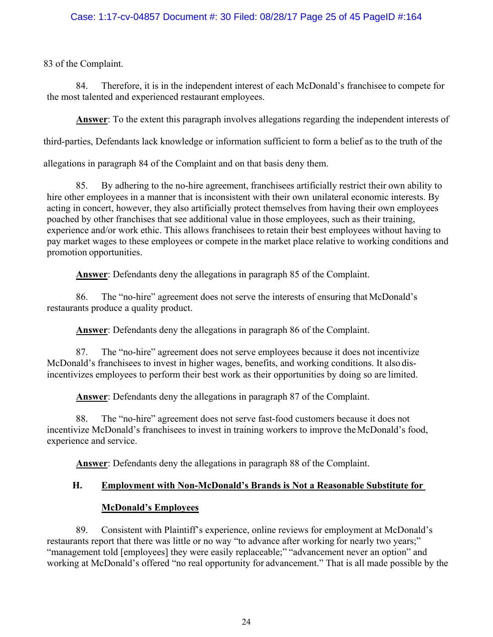83 of the Complaint.

84. Therefore, it is in the independent interest of each McDonald's franchisee to compete for the most talented and experienced restaurant employees.

**Answer**: To the extent this paragraph involves allegations regarding the independent interests of

third-parties, Defendants lack knowledge or information sufficient to form a belief as to the truth of the

allegations in paragraph 84 of the Complaint and on that basis deny them.

85. By adhering to the no-hire agreement, franchisees artificially restrict their own ability to hire other employees in a manner that is inconsistent with their own unilateral economic interests. By acting in concert, however, they also artificially protect themselves from having their own employees poached by other franchises that see additional value in those employees, such as their training, experience and/or work ethic. This allows franchisees to retain their best employees without having to pay market wages to these employees or compete in the market place relative to working conditions and promotion opportunities.

**Answer**: Defendants deny the allegations in paragraph 85 of the Complaint.

86. The "no-hire" agreement does not serve the interests of ensuring that McDonald's restaurants produce a quality product.

**Answer**: Defendants deny the allegations in paragraph 86 of the Complaint.

87. The "no-hire" agreement does not serve employees because it does not incentivize McDonald's franchisees to invest in higher wages, benefits, and working conditions. It also disincentivizes employees to perform their best work as their opportunities by doing so are limited.

**Answer**: Defendants deny the allegations in paragraph 87 of the Complaint.

88. The "no-hire" agreement does not serve fast-food customers because it does not incentivize McDonald's franchisees to invest in training workers to improve the McDonald's food, experience and service.

**Answer**: Defendants deny the allegations in paragraph 88 of the Complaint.

# **H. Employment with Non-McDonald's Brands is Not a Reasonable Substitute for**

# **McDonald's Employees**

89. Consistent with Plaintiff's experience, online reviews for employment at McDonald's restaurants report that there was little or no way "to advance after working for nearly two years;" "management told [employees] they were easily replaceable;" "advancement never an option" and working at McDonald's offered "no real opportunity for advancement." That is all made possible by the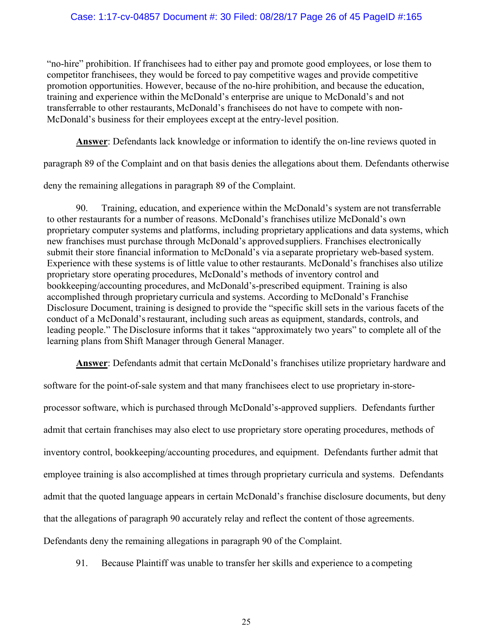# Case: 1:17-cv-04857 Document #: 30 Filed: 08/28/17 Page 26 of 45 PageID #:165

"no-hire" prohibition. If franchisees had to either pay and promote good employees, or lose them to competitor franchisees, they would be forced to pay competitive wages and provide competitive promotion opportunities. However, because of the no-hire prohibition, and because the education, training and experience within the McDonald's enterprise are unique to McDonald's and not transferrable to other restaurants, McDonald's franchisees do not have to compete with non-McDonald's business for their employees except at the entry-level position.

**Answer**: Defendants lack knowledge or information to identify the on-line reviews quoted in

paragraph 89 of the Complaint and on that basis denies the allegations about them. Defendants otherwise

deny the remaining allegations in paragraph 89 of the Complaint.

90. Training, education, and experience within the McDonald's system are not transferrable to other restaurants for a number of reasons. McDonald's franchises utilize McDonald's own proprietary computer systems and platforms, including proprietary applications and data systems, which new franchises must purchase through McDonald's approved suppliers. Franchises electronically submit their store financial information to McDonald's via a separate proprietary web-based system. Experience with these systems is of little value to other restaurants. McDonald's franchises also utilize proprietary store operating procedures, McDonald's methods of inventory control and bookkeeping/accounting procedures, and McDonald's-prescribed equipment. Training is also accomplished through proprietary curricula and systems. According to McDonald's Franchise Disclosure Document, training is designed to provide the "specific skill sets in the various facets of the conduct of a McDonald's restaurant, including such areas as equipment, standards, controls, and leading people." The Disclosure informs that it takes "approximately two years" to complete all of the learning plans from Shift Manager through General Manager.

**Answer**: Defendants admit that certain McDonald's franchises utilize proprietary hardware and

software for the point-of-sale system and that many franchisees elect to use proprietary in-store-

processor software, which is purchased through McDonald's-approved suppliers. Defendants further admit that certain franchises may also elect to use proprietary store operating procedures, methods of inventory control, bookkeeping/accounting procedures, and equipment. Defendants further admit that employee training is also accomplished at times through proprietary curricula and systems. Defendants admit that the quoted language appears in certain McDonald's franchise disclosure documents, but deny that the allegations of paragraph 90 accurately relay and reflect the content of those agreements. Defendants deny the remaining allegations in paragraph 90 of the Complaint.

91. Because Plaintiff was unable to transfer her skills and experience to a competing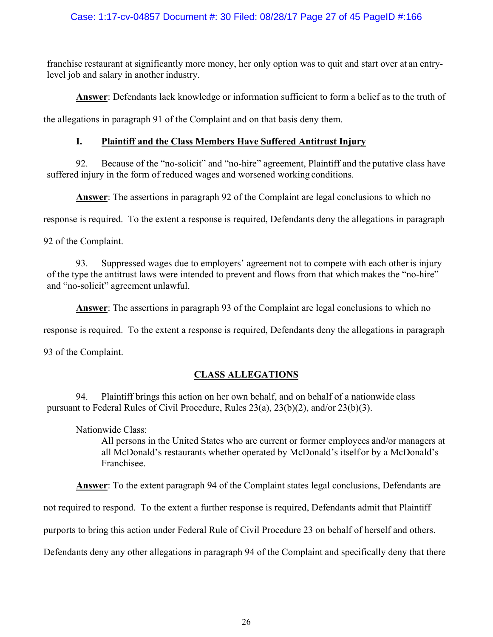franchise restaurant at significantly more money, her only option was to quit and start over at an entrylevel job and salary in another industry.

**Answer**: Defendants lack knowledge or information sufficient to form a belief as to the truth of

the allegations in paragraph 91 of the Complaint and on that basis deny them.

# **I. Plaintiff and the Class Members Have Suffered Antitrust Injury**

92. Because of the "no-solicit" and "no-hire" agreement, Plaintiff and the putative class have suffered injury in the form of reduced wages and worsened working conditions.

**Answer**: The assertions in paragraph 92 of the Complaint are legal conclusions to which no

response is required. To the extent a response is required, Defendants deny the allegations in paragraph

92 of the Complaint.

93. Suppressed wages due to employers' agreement not to compete with each other is injury of the type the antitrust laws were intended to prevent and flows from that which makes the "no-hire" and "no-solicit" agreement unlawful.

**Answer**: The assertions in paragraph 93 of the Complaint are legal conclusions to which no

response is required. To the extent a response is required, Defendants deny the allegations in paragraph

93 of the Complaint.

# **CLASS ALLEGATIONS**

94. Plaintiff brings this action on her own behalf, and on behalf of a nationwide class pursuant to Federal Rules of Civil Procedure, Rules 23(a), 23(b)(2), and/or 23(b)(3).

Nationwide Class:

All persons in the United States who are current or former employees and/or managers at all McDonald's restaurants whether operated by McDonald's itself or by a McDonald's Franchisee.

**Answer**: To the extent paragraph 94 of the Complaint states legal conclusions, Defendants are

not required to respond. To the extent a further response is required, Defendants admit that Plaintiff

purports to bring this action under Federal Rule of Civil Procedure 23 on behalf of herself and others.

Defendants deny any other allegations in paragraph 94 of the Complaint and specifically deny that there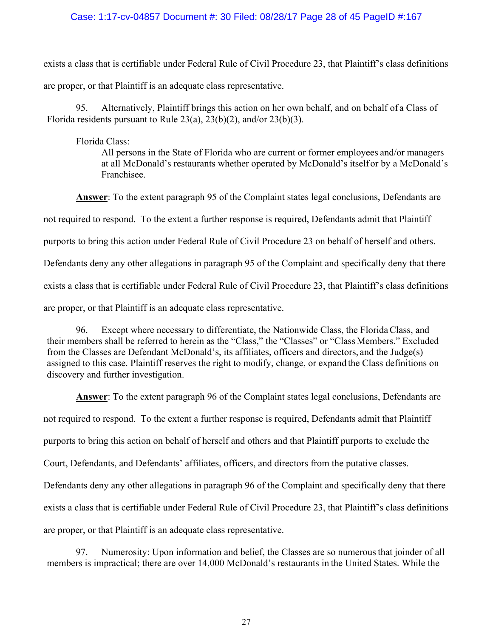### Case: 1:17-cv-04857 Document #: 30 Filed: 08/28/17 Page 28 of 45 PageID #:167

exists a class that is certifiable under Federal Rule of Civil Procedure 23, that Plaintiff's class definitions are proper, or that Plaintiff is an adequate class representative.

95. Alternatively, Plaintiff brings this action on her own behalf, and on behalf of a Class of Florida residents pursuant to Rule  $23(a)$ ,  $23(b)(2)$ , and/or  $23(b)(3)$ .

#### Florida Class:

All persons in the State of Florida who are current or former employees and/or managers at all McDonald's restaurants whether operated by McDonald's itself or by a McDonald's Franchisee.

**Answer**: To the extent paragraph 95 of the Complaint states legal conclusions, Defendants are not required to respond. To the extent a further response is required, Defendants admit that Plaintiff purports to bring this action under Federal Rule of Civil Procedure 23 on behalf of herself and others. Defendants deny any other allegations in paragraph 95 of the Complaint and specifically deny that there exists a class that is certifiable under Federal Rule of Civil Procedure 23, that Plaintiff's class definitions are proper, or that Plaintiff is an adequate class representative.

96. Except where necessary to differentiate, the Nationwide Class, the Florida Class, and their members shall be referred to herein as the "Class," the "Classes" or "Class Members." Excluded from the Classes are Defendant McDonald's, its affiliates, officers and directors, and the Judge(s) assigned to this case. Plaintiff reserves the right to modify, change, or expand the Class definitions on discovery and further investigation.

**Answer**: To the extent paragraph 96 of the Complaint states legal conclusions, Defendants are not required to respond. To the extent a further response is required, Defendants admit that Plaintiff purports to bring this action on behalf of herself and others and that Plaintiff purports to exclude the Court, Defendants, and Defendants' affiliates, officers, and directors from the putative classes. Defendants deny any other allegations in paragraph 96 of the Complaint and specifically deny that there exists a class that is certifiable under Federal Rule of Civil Procedure 23, that Plaintiff's class definitions are proper, or that Plaintiff is an adequate class representative.

97. Numerosity: Upon information and belief, the Classes are so numerous that joinder of all members is impractical; there are over 14,000 McDonald's restaurants in the United States. While the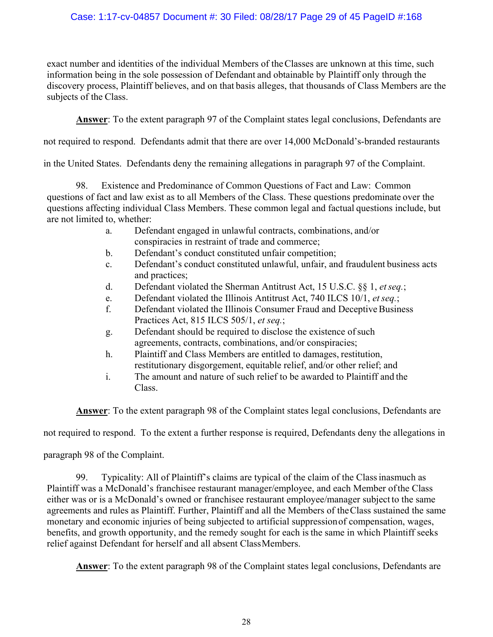# Case: 1:17-cv-04857 Document #: 30 Filed: 08/28/17 Page 29 of 45 PageID #:168

exact number and identities of the individual Members of the Classes are unknown at this time, such information being in the sole possession of Defendant and obtainable by Plaintiff only through the discovery process, Plaintiff believes, and on that basis alleges, that thousands of Class Members are the subjects of the Class.

**Answer**: To the extent paragraph 97 of the Complaint states legal conclusions, Defendants are

not required to respond. Defendants admit that there are over 14,000 McDonald's-branded restaurants

in the United States. Defendants deny the remaining allegations in paragraph 97 of the Complaint.

98. Existence and Predominance of Common Questions of Fact and Law: Common questions of fact and law exist as to all Members of the Class. These questions predominate over the questions affecting individual Class Members. These common legal and factual questions include, but are not limited to, whether:

- a. Defendant engaged in unlawful contracts, combinations, and/or conspiracies in restraint of trade and commerce;
- b. Defendant's conduct constituted unfair competition;
- c. Defendant's conduct constituted unlawful, unfair, and fraudulent business acts and practices;
- d. Defendant violated the Sherman Antitrust Act, 15 U.S.C. §§ 1, *et seq.*;
- e. Defendant violated the Illinois Antitrust Act, 740 ILCS 10/1, *et seq.*;
- f. Defendant violated the Illinois Consumer Fraud and Deceptive Business Practices Act, 815 ILCS 505/1, *et seq.*;
- g. Defendant should be required to disclose the existence of such agreements, contracts, combinations, and/or conspiracies;
- h. Plaintiff and Class Members are entitled to damages, restitution, restitutionary disgorgement, equitable relief, and/or other relief; and
- i. The amount and nature of such relief to be awarded to Plaintiff and the Class.

**Answer**: To the extent paragraph 98 of the Complaint states legal conclusions, Defendants are

not required to respond. To the extent a further response is required, Defendants deny the allegations in

paragraph 98 of the Complaint.

99. Typicality: All of Plaintiff's claims are typical of the claim of the Class inasmuch as Plaintiff was a McDonald's franchisee restaurant manager/employee, and each Member of the Class either was or is a McDonald's owned or franchisee restaurant employee/manager subject to the same agreements and rules as Plaintiff. Further, Plaintiff and all the Members of the Class sustained the same monetary and economic injuries of being subjected to artificial suppression of compensation, wages, benefits, and growth opportunity, and the remedy sought for each is the same in which Plaintiff seeks relief against Defendant for herself and all absent Class Members.

**Answer**: To the extent paragraph 98 of the Complaint states legal conclusions, Defendants are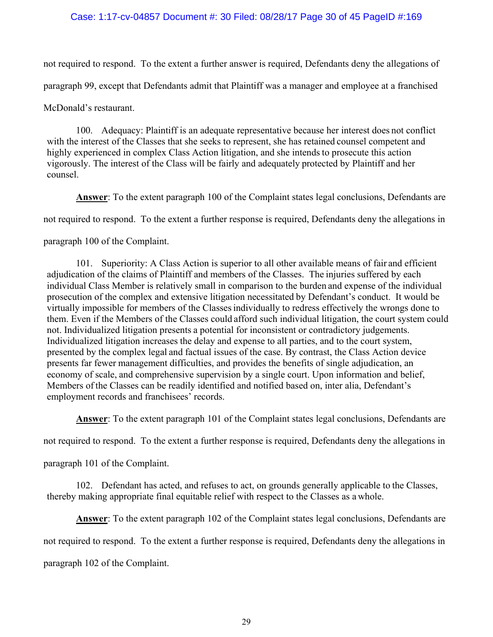# Case: 1:17-cv-04857 Document #: 30 Filed: 08/28/17 Page 30 of 45 PageID #:169

not required to respond. To the extent a further answer is required, Defendants deny the allegations of paragraph 99, except that Defendants admit that Plaintiff was a manager and employee at a franchised McDonald's restaurant.

100. Adequacy: Plaintiff is an adequate representative because her interest does not conflict with the interest of the Classes that she seeks to represent, she has retained counsel competent and highly experienced in complex Class Action litigation, and she intends to prosecute this action vigorously. The interest of the Class will be fairly and adequately protected by Plaintiff and her counsel.

**Answer**: To the extent paragraph 100 of the Complaint states legal conclusions, Defendants are not required to respond. To the extent a further response is required, Defendants deny the allegations in paragraph 100 of the Complaint.

101. Superiority: A Class Action is superior to all other available means of fair and efficient adjudication of the claims of Plaintiff and members of the Classes. The injuries suffered by each individual Class Member is relatively small in comparison to the burden and expense of the individual prosecution of the complex and extensive litigation necessitated by Defendant's conduct. It would be virtually impossible for members of the Classes individually to redress effectively the wrongs done to them. Even if the Members of the Classes could afford such individual litigation, the court system could not. Individualized litigation presents a potential for inconsistent or contradictory judgements. Individualized litigation increases the delay and expense to all parties, and to the court system, presented by the complex legal and factual issues of the case. By contrast, the Class Action device presents far fewer management difficulties, and provides the benefits of single adjudication, an economy of scale, and comprehensive supervision by a single court. Upon information and belief, Members of the Classes can be readily identified and notified based on, inter alia, Defendant's employment records and franchisees' records.

**Answer**: To the extent paragraph 101 of the Complaint states legal conclusions, Defendants are

not required to respond. To the extent a further response is required, Defendants deny the allegations in

paragraph 101 of the Complaint.

102. Defendant has acted, and refuses to act, on grounds generally applicable to the Classes, thereby making appropriate final equitable relief with respect to the Classes as a whole.

**Answer**: To the extent paragraph 102 of the Complaint states legal conclusions, Defendants are

not required to respond. To the extent a further response is required, Defendants deny the allegations in

paragraph 102 of the Complaint.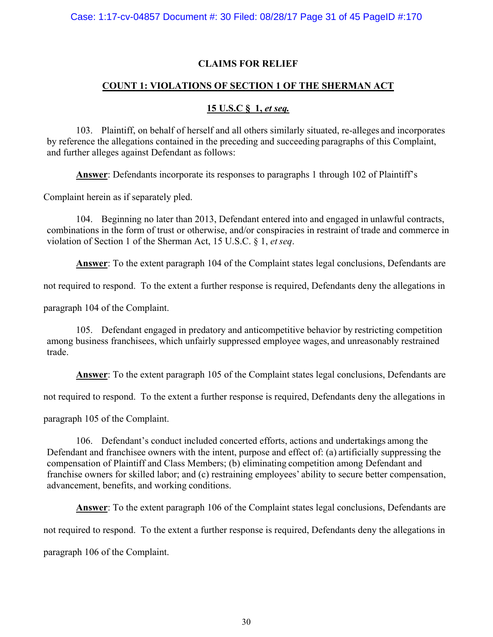# **CLAIMS FOR RELIEF**

# **COUNT 1: VIOLATIONS OF SECTION 1 OF THE SHERMAN ACT**

# **15 U.S.C § 1,** *et seq.*

103. Plaintiff, on behalf of herself and all others similarly situated, re-alleges and incorporates by reference the allegations contained in the preceding and succeeding paragraphs of this Complaint, and further alleges against Defendant as follows:

**Answer**: Defendants incorporate its responses to paragraphs 1 through 102 of Plaintiff's

Complaint herein as if separately pled.

104. Beginning no later than 2013, Defendant entered into and engaged in unlawful contracts, combinations in the form of trust or otherwise, and/or conspiracies in restraint of trade and commerce in violation of Section 1 of the Sherman Act, 15 U.S.C. § 1, *et seq*.

**Answer**: To the extent paragraph 104 of the Complaint states legal conclusions, Defendants are

not required to respond. To the extent a further response is required, Defendants deny the allegations in

paragraph 104 of the Complaint.

105. Defendant engaged in predatory and anticompetitive behavior by restricting competition among business franchisees, which unfairly suppressed employee wages, and unreasonably restrained trade.

**Answer**: To the extent paragraph 105 of the Complaint states legal conclusions, Defendants are

not required to respond. To the extent a further response is required, Defendants deny the allegations in

paragraph 105 of the Complaint.

106. Defendant's conduct included concerted efforts, actions and undertakings among the Defendant and franchisee owners with the intent, purpose and effect of: (a) artificially suppressing the compensation of Plaintiff and Class Members; (b) eliminating competition among Defendant and franchise owners for skilled labor; and (c) restraining employees' ability to secure better compensation, advancement, benefits, and working conditions.

**Answer**: To the extent paragraph 106 of the Complaint states legal conclusions, Defendants are

not required to respond. To the extent a further response is required, Defendants deny the allegations in

paragraph 106 of the Complaint.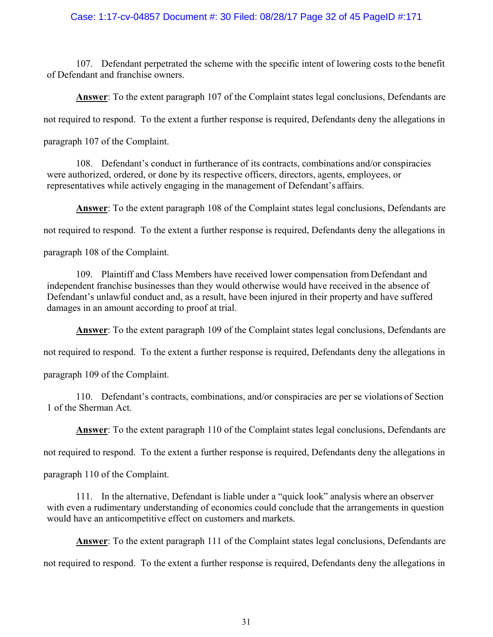### Case: 1:17-cv-04857 Document #: 30 Filed: 08/28/17 Page 32 of 45 PageID #:171

107. Defendant perpetrated the scheme with the specific intent of lowering costs to the benefit of Defendant and franchise owners.

**Answer**: To the extent paragraph 107 of the Complaint states legal conclusions, Defendants are not required to respond. To the extent a further response is required, Defendants deny the allegations in paragraph 107 of the Complaint.

108. Defendant's conduct in furtherance of its contracts, combinations and/or conspiracies were authorized, ordered, or done by its respective officers, directors, agents, employees, or representatives while actively engaging in the management of Defendant's affairs.

**Answer**: To the extent paragraph 108 of the Complaint states legal conclusions, Defendants are not required to respond. To the extent a further response is required, Defendants deny the allegations in

paragraph 108 of the Complaint.

109. Plaintiff and Class Members have received lower compensation from Defendant and independent franchise businesses than they would otherwise would have received in the absence of Defendant's unlawful conduct and, as a result, have been injured in their property and have suffered damages in an amount according to proof at trial.

**Answer**: To the extent paragraph 109 of the Complaint states legal conclusions, Defendants are

not required to respond. To the extent a further response is required, Defendants deny the allegations in

paragraph 109 of the Complaint.

110. Defendant's contracts, combinations, and/or conspiracies are per se violations of Section 1 of the Sherman Act.

**Answer**: To the extent paragraph 110 of the Complaint states legal conclusions, Defendants are

not required to respond. To the extent a further response is required, Defendants deny the allegations in

paragraph 110 of the Complaint.

111. In the alternative, Defendant is liable under a "quick look" analysis where an observer with even a rudimentary understanding of economics could conclude that the arrangements in question would have an anticompetitive effect on customers and markets.

**Answer**: To the extent paragraph 111 of the Complaint states legal conclusions, Defendants are

not required to respond. To the extent a further response is required, Defendants deny the allegations in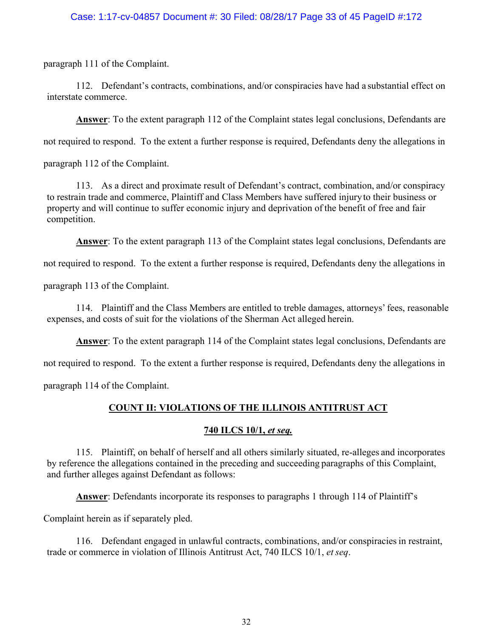# Case: 1:17-cv-04857 Document #: 30 Filed: 08/28/17 Page 33 of 45 PageID #:172

paragraph 111 of the Complaint.

112. Defendant's contracts, combinations, and/or conspiracies have had a substantial effect on interstate commerce.

**Answer**: To the extent paragraph 112 of the Complaint states legal conclusions, Defendants are

not required to respond. To the extent a further response is required, Defendants deny the allegations in

paragraph 112 of the Complaint.

113. As a direct and proximate result of Defendant's contract, combination, and/or conspiracy to restrain trade and commerce, Plaintiff and Class Members have suffered injury to their business or property and will continue to suffer economic injury and deprivation of the benefit of free and fair competition.

**Answer**: To the extent paragraph 113 of the Complaint states legal conclusions, Defendants are

not required to respond. To the extent a further response is required, Defendants deny the allegations in

paragraph 113 of the Complaint.

114. Plaintiff and the Class Members are entitled to treble damages, attorneys' fees, reasonable expenses, and costs of suit for the violations of the Sherman Act alleged herein.

**Answer**: To the extent paragraph 114 of the Complaint states legal conclusions, Defendants are

not required to respond. To the extent a further response is required, Defendants deny the allegations in

paragraph 114 of the Complaint.

# **COUNT II: VIOLATIONS OF THE ILLINOIS ANTITRUST ACT**

### **740 ILCS 10/1,** *et seq.*

115. Plaintiff, on behalf of herself and all others similarly situated, re-alleges and incorporates by reference the allegations contained in the preceding and succeeding paragraphs of this Complaint, and further alleges against Defendant as follows:

**Answer**: Defendants incorporate its responses to paragraphs 1 through 114 of Plaintiff's

Complaint herein as if separately pled.

116. Defendant engaged in unlawful contracts, combinations, and/or conspiracies in restraint, trade or commerce in violation of Illinois Antitrust Act, 740 ILCS 10/1, *et seq*.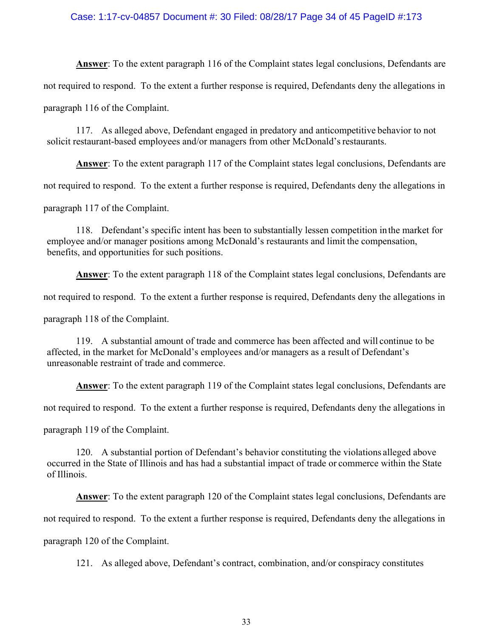### Case: 1:17-cv-04857 Document #: 30 Filed: 08/28/17 Page 34 of 45 PageID #:173

**Answer**: To the extent paragraph 116 of the Complaint states legal conclusions, Defendants are not required to respond. To the extent a further response is required, Defendants deny the allegations in paragraph 116 of the Complaint.

117. As alleged above, Defendant engaged in predatory and anticompetitive behavior to not solicit restaurant-based employees and/or managers from other McDonald's restaurants.

**Answer**: To the extent paragraph 117 of the Complaint states legal conclusions, Defendants are not required to respond. To the extent a further response is required, Defendants deny the allegations in paragraph 117 of the Complaint.

118. Defendant's specific intent has been to substantially lessen competition in the market for employee and/or manager positions among McDonald's restaurants and limit the compensation, benefits, and opportunities for such positions.

**Answer**: To the extent paragraph 118 of the Complaint states legal conclusions, Defendants are

not required to respond. To the extent a further response is required, Defendants deny the allegations in

paragraph 118 of the Complaint.

119. A substantial amount of trade and commerce has been affected and will continue to be affected, in the market for McDonald's employees and/or managers as a result of Defendant's unreasonable restraint of trade and commerce.

**Answer**: To the extent paragraph 119 of the Complaint states legal conclusions, Defendants are

not required to respond. To the extent a further response is required, Defendants deny the allegations in

paragraph 119 of the Complaint.

120. A substantial portion of Defendant's behavior constituting the violations alleged above occurred in the State of Illinois and has had a substantial impact of trade or commerce within the State of Illinois.

**Answer**: To the extent paragraph 120 of the Complaint states legal conclusions, Defendants are not required to respond. To the extent a further response is required, Defendants deny the allegations in paragraph 120 of the Complaint.

121. As alleged above, Defendant's contract, combination, and/or conspiracy constitutes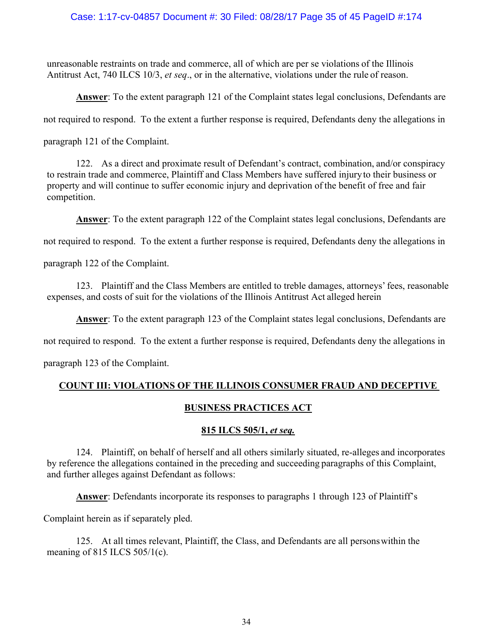# Case: 1:17-cv-04857 Document #: 30 Filed: 08/28/17 Page 35 of 45 PageID #:174

unreasonable restraints on trade and commerce, all of which are per se violations of the Illinois Antitrust Act, 740 ILCS 10/3, *et seq*., or in the alternative, violations under the rule of reason.

**Answer**: To the extent paragraph 121 of the Complaint states legal conclusions, Defendants are

not required to respond. To the extent a further response is required, Defendants deny the allegations in

paragraph 121 of the Complaint.

122. As a direct and proximate result of Defendant's contract, combination, and/or conspiracy to restrain trade and commerce, Plaintiff and Class Members have suffered injury to their business or property and will continue to suffer economic injury and deprivation of the benefit of free and fair competition.

**Answer**: To the extent paragraph 122 of the Complaint states legal conclusions, Defendants are

not required to respond. To the extent a further response is required, Defendants deny the allegations in

paragraph 122 of the Complaint.

123. Plaintiff and the Class Members are entitled to treble damages, attorneys' fees, reasonable expenses, and costs of suit for the violations of the Illinois Antitrust Act alleged herein

**Answer**: To the extent paragraph 123 of the Complaint states legal conclusions, Defendants are

not required to respond. To the extent a further response is required, Defendants deny the allegations in

paragraph 123 of the Complaint.

# **COUNT III: VIOLATIONS OF THE ILLINOIS CONSUMER FRAUD AND DECEPTIVE**

# **BUSINESS PRACTICES ACT**

# **815 ILCS 505/1,** *et seq.*

124. Plaintiff, on behalf of herself and all others similarly situated, re-alleges and incorporates by reference the allegations contained in the preceding and succeeding paragraphs of this Complaint, and further alleges against Defendant as follows:

**Answer**: Defendants incorporate its responses to paragraphs 1 through 123 of Plaintiff's

Complaint herein as if separately pled.

125. At all times relevant, Plaintiff, the Class, and Defendants are all persons within the meaning of 815 ILCS 505/1(c).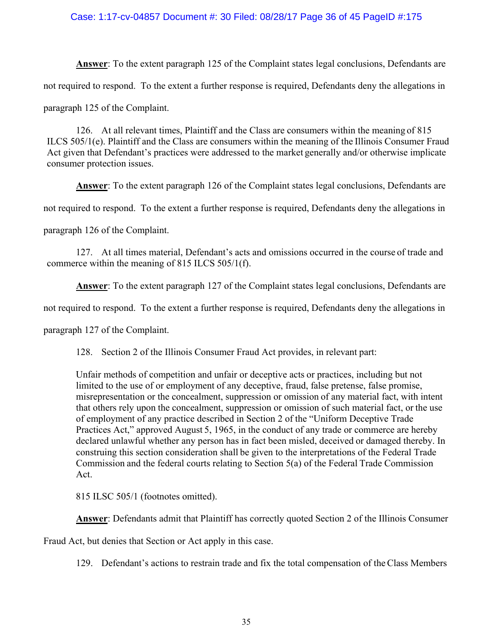# Case: 1:17-cv-04857 Document #: 30 Filed: 08/28/17 Page 36 of 45 PageID #:175

**Answer**: To the extent paragraph 125 of the Complaint states legal conclusions, Defendants are not required to respond. To the extent a further response is required, Defendants deny the allegations in paragraph 125 of the Complaint.

126. At all relevant times, Plaintiff and the Class are consumers within the meaning of 815 ILCS 505/1(e). Plaintiff and the Class are consumers within the meaning of the Illinois Consumer Fraud Act given that Defendant's practices were addressed to the market generally and/or otherwise implicate consumer protection issues.

**Answer**: To the extent paragraph 126 of the Complaint states legal conclusions, Defendants are

not required to respond. To the extent a further response is required, Defendants deny the allegations in

paragraph 126 of the Complaint.

127. At all times material, Defendant's acts and omissions occurred in the course of trade and commerce within the meaning of 815 ILCS 505/1(f).

**Answer**: To the extent paragraph 127 of the Complaint states legal conclusions, Defendants are

not required to respond. To the extent a further response is required, Defendants deny the allegations in

paragraph 127 of the Complaint.

128. Section 2 of the Illinois Consumer Fraud Act provides, in relevant part:

Unfair methods of competition and unfair or deceptive acts or practices, including but not limited to the use of or employment of any deceptive, fraud, false pretense, false promise, misrepresentation or the concealment, suppression or omission of any material fact, with intent that others rely upon the concealment, suppression or omission of such material fact, or the use of employment of any practice described in Section 2 of the "Uniform Deceptive Trade Practices Act," approved August 5, 1965, in the conduct of any trade or commerce are hereby declared unlawful whether any person has in fact been misled, deceived or damaged thereby. In construing this section consideration shall be given to the interpretations of the Federal Trade Commission and the federal courts relating to Section 5(a) of the Federal Trade Commission Act.

815 ILSC 505/1 (footnotes omitted).

**Answer**: Defendants admit that Plaintiff has correctly quoted Section 2 of the Illinois Consumer

Fraud Act, but denies that Section or Act apply in this case.

129. Defendant's actions to restrain trade and fix the total compensation of the Class Members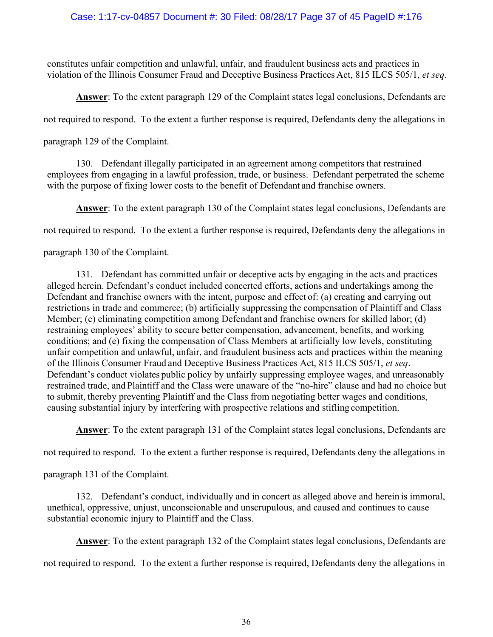# Case: 1:17-cv-04857 Document #: 30 Filed: 08/28/17 Page 37 of 45 PageID #:176

constitutes unfair competition and unlawful, unfair, and fraudulent business acts and practices in violation of the Illinois Consumer Fraud and Deceptive Business Practices Act, 815 ILCS 505/1, *et seq*.

**Answer**: To the extent paragraph 129 of the Complaint states legal conclusions, Defendants are

not required to respond. To the extent a further response is required, Defendants deny the allegations in

paragraph 129 of the Complaint.

130. Defendant illegally participated in an agreement among competitors that restrained employees from engaging in a lawful profession, trade, or business. Defendant perpetrated the scheme with the purpose of fixing lower costs to the benefit of Defendant and franchise owners.

**Answer**: To the extent paragraph 130 of the Complaint states legal conclusions, Defendants are

not required to respond. To the extent a further response is required, Defendants deny the allegations in

paragraph 130 of the Complaint.

131. Defendant has committed unfair or deceptive acts by engaging in the acts and practices alleged herein. Defendant's conduct included concerted efforts, actions and undertakings among the Defendant and franchise owners with the intent, purpose and effect of: (a) creating and carrying out restrictions in trade and commerce; (b) artificially suppressing the compensation of Plaintiff and Class Member; (c) eliminating competition among Defendant and franchise owners for skilled labor; (d) restraining employees' ability to secure better compensation, advancement, benefits, and working conditions; and (e) fixing the compensation of Class Members at artificially low levels, constituting unfair competition and unlawful, unfair, and fraudulent business acts and practices within the meaning of the Illinois Consumer Fraud and Deceptive Business Practices Act, 815 ILCS 505/1, *et seq*. Defendant's conduct violates public policy by unfairly suppressing employee wages, and unreasonably restrained trade, and Plaintiff and the Class were unaware of the "no-hire" clause and had no choice but to submit, thereby preventing Plaintiff and the Class from negotiating better wages and conditions, causing substantial injury by interfering with prospective relations and stifling competition.

**Answer**: To the extent paragraph 131 of the Complaint states legal conclusions, Defendants are

not required to respond. To the extent a further response is required, Defendants deny the allegations in

paragraph 131 of the Complaint.

132. Defendant's conduct, individually and in concert as alleged above and herein is immoral, unethical, oppressive, unjust, unconscionable and unscrupulous, and caused and continues to cause substantial economic injury to Plaintiff and the Class.

**Answer**: To the extent paragraph 132 of the Complaint states legal conclusions, Defendants are

not required to respond. To the extent a further response is required, Defendants deny the allegations in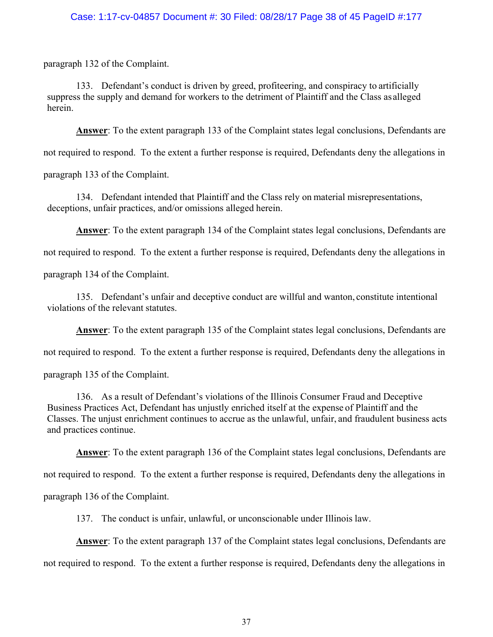# Case: 1:17-cv-04857 Document #: 30 Filed: 08/28/17 Page 38 of 45 PageID #:177

paragraph 132 of the Complaint.

133. Defendant's conduct is driven by greed, profiteering, and conspiracy to artificially suppress the supply and demand for workers to the detriment of Plaintiff and the Class as alleged herein.

**Answer**: To the extent paragraph 133 of the Complaint states legal conclusions, Defendants are

not required to respond. To the extent a further response is required, Defendants deny the allegations in

paragraph 133 of the Complaint.

134. Defendant intended that Plaintiff and the Class rely on material misrepresentations, deceptions, unfair practices, and/or omissions alleged herein.

**Answer**: To the extent paragraph 134 of the Complaint states legal conclusions, Defendants are

not required to respond. To the extent a further response is required, Defendants deny the allegations in

paragraph 134 of the Complaint.

135. Defendant's unfair and deceptive conduct are willful and wanton, constitute intentional violations of the relevant statutes.

**Answer**: To the extent paragraph 135 of the Complaint states legal conclusions, Defendants are

not required to respond. To the extent a further response is required, Defendants deny the allegations in

paragraph 135 of the Complaint.

136. As a result of Defendant's violations of the Illinois Consumer Fraud and Deceptive Business Practices Act, Defendant has unjustly enriched itself at the expense of Plaintiff and the Classes. The unjust enrichment continues to accrue as the unlawful, unfair, and fraudulent business acts and practices continue.

**Answer**: To the extent paragraph 136 of the Complaint states legal conclusions, Defendants are

not required to respond. To the extent a further response is required, Defendants deny the allegations in

paragraph 136 of the Complaint.

137. The conduct is unfair, unlawful, or unconscionable under Illinois law.

**Answer**: To the extent paragraph 137 of the Complaint states legal conclusions, Defendants are not required to respond. To the extent a further response is required, Defendants deny the allegations in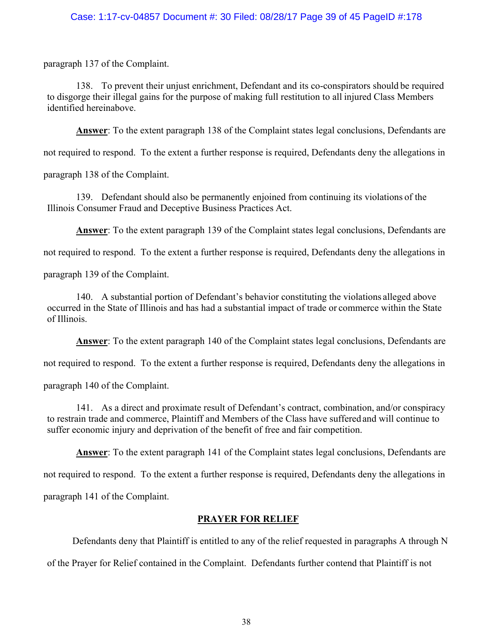# Case: 1:17-cv-04857 Document #: 30 Filed: 08/28/17 Page 39 of 45 PageID #:178

paragraph 137 of the Complaint.

138. To prevent their unjust enrichment, Defendant and its co-conspirators should be required to disgorge their illegal gains for the purpose of making full restitution to all injured Class Members identified hereinabove.

**Answer**: To the extent paragraph 138 of the Complaint states legal conclusions, Defendants are

not required to respond. To the extent a further response is required, Defendants deny the allegations in

paragraph 138 of the Complaint.

139. Defendant should also be permanently enjoined from continuing its violations of the Illinois Consumer Fraud and Deceptive Business Practices Act.

**Answer**: To the extent paragraph 139 of the Complaint states legal conclusions, Defendants are

not required to respond. To the extent a further response is required, Defendants deny the allegations in

paragraph 139 of the Complaint.

140. A substantial portion of Defendant's behavior constituting the violations alleged above occurred in the State of Illinois and has had a substantial impact of trade or commerce within the State of Illinois.

**Answer**: To the extent paragraph 140 of the Complaint states legal conclusions, Defendants are

not required to respond. To the extent a further response is required, Defendants deny the allegations in

paragraph 140 of the Complaint.

141. As a direct and proximate result of Defendant's contract, combination, and/or conspiracy to restrain trade and commerce, Plaintiff and Members of the Class have suffered and will continue to suffer economic injury and deprivation of the benefit of free and fair competition.

**Answer**: To the extent paragraph 141 of the Complaint states legal conclusions, Defendants are

not required to respond. To the extent a further response is required, Defendants deny the allegations in paragraph 141 of the Complaint.

### **PRAYER FOR RELIEF**

Defendants deny that Plaintiff is entitled to any of the relief requested in paragraphs A through N

of the Prayer for Relief contained in the Complaint. Defendants further contend that Plaintiff is not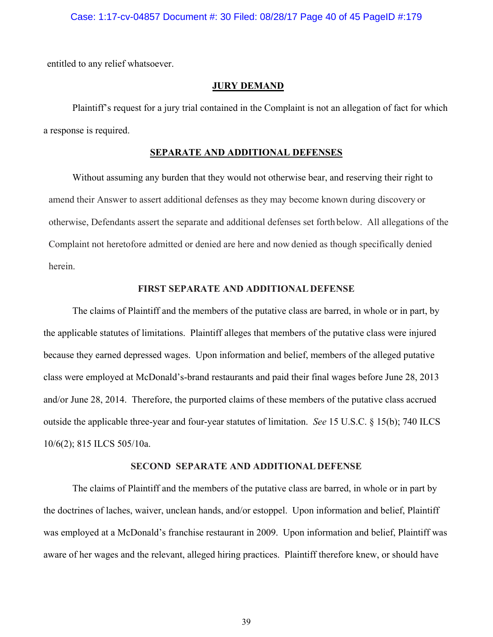#### Case: 1:17-cv-04857 Document #: 30 Filed: 08/28/17 Page 40 of 45 PageID #:179

entitled to any relief whatsoever.

#### **JURY DEMAND**

 Plaintiff's request for a jury trial contained in the Complaint is not an allegation of fact for which a response is required.

#### **SEPARATE AND ADDITIONAL DEFENSES**

Without assuming any burden that they would not otherwise bear, and reserving their right to amend their Answer to assert additional defenses as they may become known during discovery or otherwise, Defendants assert the separate and additional defenses set forth below. All allegations of the Complaint not heretofore admitted or denied are here and now denied as though specifically denied herein.

### **FIRST SEPARATE AND ADDITIONAL DEFENSE**

 The claims of Plaintiff and the members of the putative class are barred, in whole or in part, by the applicable statutes of limitations. Plaintiff alleges that members of the putative class were injured because they earned depressed wages. Upon information and belief, members of the alleged putative class were employed at McDonald's-brand restaurants and paid their final wages before June 28, 2013 and/or June 28, 2014. Therefore, the purported claims of these members of the putative class accrued outside the applicable three-year and four-year statutes of limitation. *See* 15 U.S.C. § 15(b); 740 ILCS 10/6(2); 815 ILCS 505/10a.

### **SECOND SEPARATE AND ADDITIONAL DEFENSE**

 The claims of Plaintiff and the members of the putative class are barred, in whole or in part by the doctrines of laches, waiver, unclean hands, and/or estoppel. Upon information and belief, Plaintiff was employed at a McDonald's franchise restaurant in 2009. Upon information and belief, Plaintiff was aware of her wages and the relevant, alleged hiring practices. Plaintiff therefore knew, or should have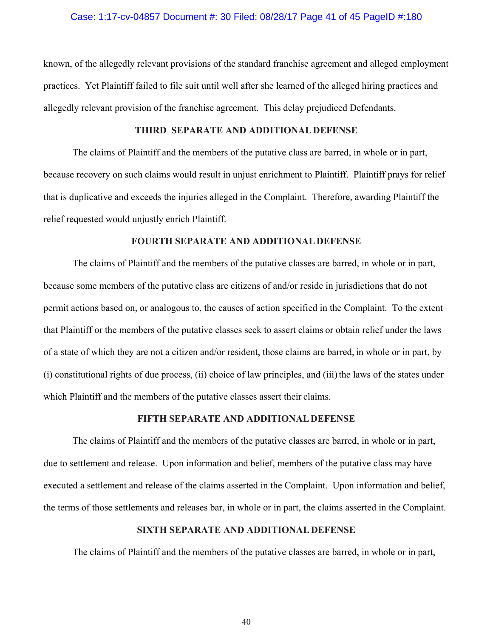#### Case: 1:17-cv-04857 Document #: 30 Filed: 08/28/17 Page 41 of 45 PageID #:180

known, of the allegedly relevant provisions of the standard franchise agreement and alleged employment practices. Yet Plaintiff failed to file suit until well after she learned of the alleged hiring practices and allegedly relevant provision of the franchise agreement. This delay prejudiced Defendants.

#### **THIRD SEPARATE AND ADDITIONAL DEFENSE**

 The claims of Plaintiff and the members of the putative class are barred, in whole or in part, because recovery on such claims would result in unjust enrichment to Plaintiff. Plaintiff prays for relief that is duplicative and exceeds the injuries alleged in the Complaint. Therefore, awarding Plaintiff the relief requested would unjustly enrich Plaintiff.

#### **FOURTH SEPARATE AND ADDITIONAL DEFENSE**

 The claims of Plaintiff and the members of the putative classes are barred, in whole or in part, because some members of the putative class are citizens of and/or reside in jurisdictions that do not permit actions based on, or analogous to, the causes of action specified in the Complaint. To the extent that Plaintiff or the members of the putative classes seek to assert claims or obtain relief under the laws of a state of which they are not a citizen and/or resident, those claims are barred, in whole or in part, by (i) constitutional rights of due process, (ii) choice of law principles, and (iii) the laws of the states under which Plaintiff and the members of the putative classes assert their claims.

#### **FIFTH SEPARATE AND ADDITIONAL DEFENSE**

 The claims of Plaintiff and the members of the putative classes are barred, in whole or in part, due to settlement and release. Upon information and belief, members of the putative class may have executed a settlement and release of the claims asserted in the Complaint. Upon information and belief, the terms of those settlements and releases bar, in whole or in part, the claims asserted in the Complaint.

#### **SIXTH SEPARATE AND ADDITIONAL DEFENSE**

The claims of Plaintiff and the members of the putative classes are barred, in whole or in part,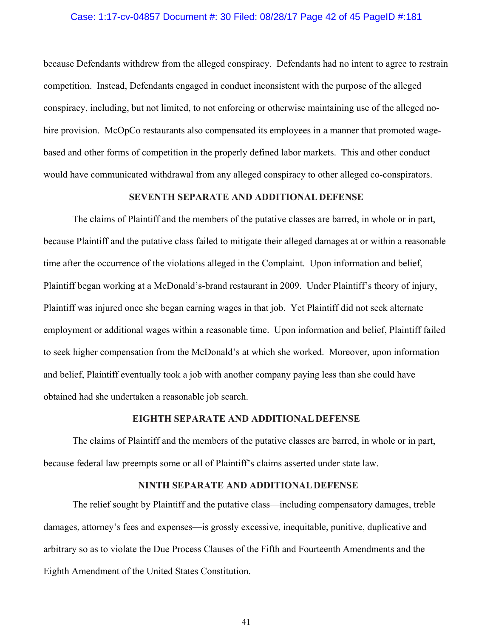#### Case: 1:17-cv-04857 Document #: 30 Filed: 08/28/17 Page 42 of 45 PageID #:181

because Defendants withdrew from the alleged conspiracy. Defendants had no intent to agree to restrain competition. Instead, Defendants engaged in conduct inconsistent with the purpose of the alleged conspiracy, including, but not limited, to not enforcing or otherwise maintaining use of the alleged nohire provision. McOpCo restaurants also compensated its employees in a manner that promoted wagebased and other forms of competition in the properly defined labor markets. This and other conduct would have communicated withdrawal from any alleged conspiracy to other alleged co-conspirators.

#### **SEVENTH SEPARATE AND ADDITIONAL DEFENSE**

 The claims of Plaintiff and the members of the putative classes are barred, in whole or in part, because Plaintiff and the putative class failed to mitigate their alleged damages at or within a reasonable time after the occurrence of the violations alleged in the Complaint. Upon information and belief, Plaintiff began working at a McDonald's-brand restaurant in 2009. Under Plaintiff's theory of injury, Plaintiff was injured once she began earning wages in that job. Yet Plaintiff did not seek alternate employment or additional wages within a reasonable time. Upon information and belief, Plaintiff failed to seek higher compensation from the McDonald's at which she worked. Moreover, upon information and belief, Plaintiff eventually took a job with another company paying less than she could have obtained had she undertaken a reasonable job search.

#### **EIGHTH SEPARATE AND ADDITIONAL DEFENSE**

 The claims of Plaintiff and the members of the putative classes are barred, in whole or in part, because federal law preempts some or all of Plaintiff's claims asserted under state law.

#### **NINTH SEPARATE AND ADDITIONAL DEFENSE**

 The relief sought by Plaintiff and the putative class—including compensatory damages, treble damages, attorney's fees and expenses—is grossly excessive, inequitable, punitive, duplicative and arbitrary so as to violate the Due Process Clauses of the Fifth and Fourteenth Amendments and the Eighth Amendment of the United States Constitution.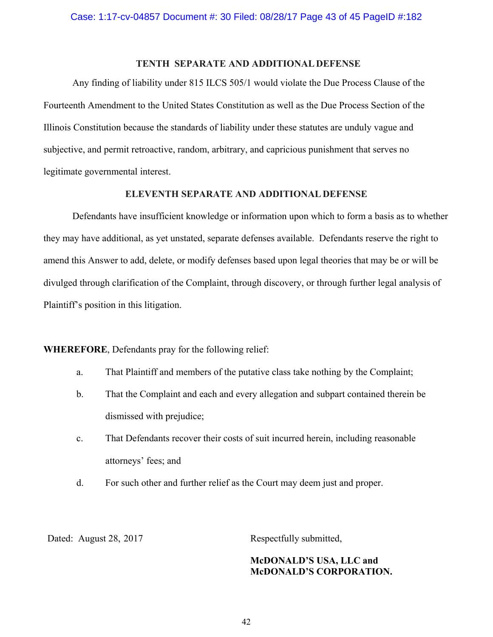### **TENTH SEPARATE AND ADDITIONAL DEFENSE**

Any finding of liability under 815 ILCS 505/1 would violate the Due Process Clause of the Fourteenth Amendment to the United States Constitution as well as the Due Process Section of the Illinois Constitution because the standards of liability under these statutes are unduly vague and subjective, and permit retroactive, random, arbitrary, and capricious punishment that serves no legitimate governmental interest.

#### **ELEVENTH SEPARATE AND ADDITIONAL DEFENSE**

Defendants have insufficient knowledge or information upon which to form a basis as to whether they may have additional, as yet unstated, separate defenses available. Defendants reserve the right to amend this Answer to add, delete, or modify defenses based upon legal theories that may be or will be divulged through clarification of the Complaint, through discovery, or through further legal analysis of Plaintiff's position in this litigation.

**WHEREFORE**, Defendants pray for the following relief:

- a. That Plaintiff and members of the putative class take nothing by the Complaint;
- b. That the Complaint and each and every allegation and subpart contained therein be dismissed with prejudice;
- c. That Defendants recover their costs of suit incurred herein, including reasonable attorneys' fees; and
- d. For such other and further relief as the Court may deem just and proper.

Dated: August 28, 2017 Respectfully submitted,

# **McDONALD'S USA, LLC and McDONALD'S CORPORATION.**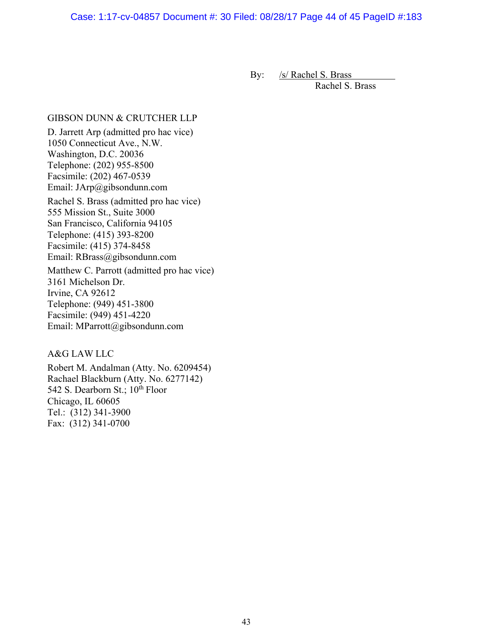Case: 1:17-cv-04857 Document #: 30 Filed: 08/28/17 Page 44 of 45 PageID #:183

By: /s/ Rachel S. Brass

Rachel S. Brass

### GIBSON DUNN & CRUTCHER LLP

D. Jarrett Arp (admitted pro hac vice) 1050 Connecticut Ave., N.W. Washington, D.C. 20036 Telephone: (202) 955-8500 Facsimile: (202) 467-0539 Email: JArp@gibsondunn.com Rachel S. Brass (admitted pro hac vice) 555 Mission St., Suite 3000 San Francisco, California 94105 Telephone: (415) 393-8200 Facsimile: (415) 374-8458 Email: RBrass@gibsondunn.com Matthew C. Parrott (admitted pro hac vice) 3161 Michelson Dr. Irvine, CA 92612 Telephone: (949) 451-3800 Facsimile: (949) 451-4220

### A&G LAW LLC

Robert M. Andalman (Atty. No. 6209454) Rachael Blackburn (Atty. No. 6277142) 542 S. Dearborn St.;  $10^{th}$  Floor Chicago, IL 60605 Tel.: (312) 341-3900 Fax: (312) 341-0700

Email: MParrott@gibsondunn.com